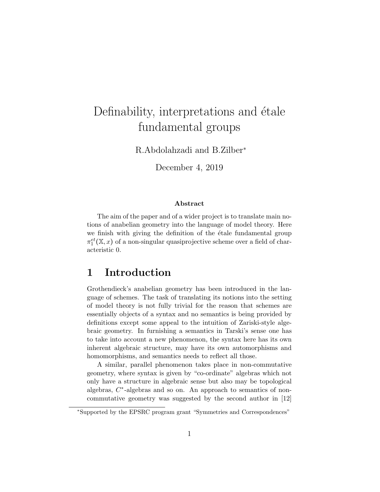# Definability, interpretations and étale fundamental groups

R.Abdolahzadi and B.Zilber<sup>∗</sup>

December 4, 2019

#### Abstract

The aim of the paper and of a wider project is to translate main notions of anabelian geometry into the language of model theory. Here we finish with giving the definition of the étale fundamental group  $\pi_1^{et}(\mathbb{X},x)$  of a non-singular quasiprojective scheme over a field of characteristic 0.

## 1 Introduction

Grothendieck's anabelian geometry has been introduced in the language of schemes. The task of translating its notions into the setting of model theory is not fully trivial for the reason that schemes are essentially objects of a syntax and no semantics is being provided by definitions except some appeal to the intuition of Zariski-style algebraic geometry. In furnishing a semantics in Tarski's sense one has to take into account a new phenomenon, the syntax here has its own inherent algebraic structure, may have its own automorphisms and homomorphisms, and semantics needs to reflect all those.

A similar, parallel phenomenon takes place in non-commutative geometry, where syntax is given by "co-ordinate" algebras which not only have a structure in algebraic sense but also may be topological algebras,  $C^*$ -algebras and so on. An approach to semantics of noncommutative geometry was suggested by the second author in [12]

<sup>∗</sup>Supported by the EPSRC program grant "Symmetries and Correspondences"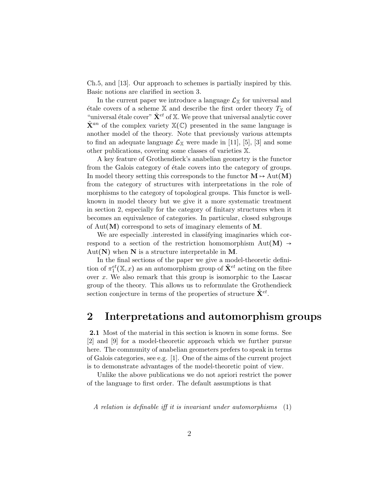Ch.5, and [13]. Our approach to schemes is partially inspired by this. Basic notions are clarified in section 3.

In the current paper we introduce a language  $\mathcal{L}_{\mathbb{X}}$  for universal and étale covers of a scheme  $X$  and describe the first order theory  $T_X$  of "universal étale cover"  $\tilde{\mathbf{X}}^{et}$  of X. We prove that universal analytic cover  $\tilde{\mathbf{X}}^{an}$  of the complex variety  $\mathbb{X}(\mathbb{C})$  presented in the same language is another model of the theory. Note that previously various attempts to find an adequate language  $\mathcal{L}_{\mathbb{X}}$  were made in [11], [5], [3] and some other publications, covering some classes of varieties X.

A key feature of Grothendieck's anabelian geometry is the functor from the Galois category of étale covers into the category of groups. In model theory setting this corresponds to the functor  $M \mapsto Aut(M)$ from the category of structures with interpretations in the role of morphisms to the category of topological groups. This functor is wellknown in model theory but we give it a more systematic treatment in section 2, especially for the category of finitary structures when it becomes an equivalence of categories. In particular, closed subgroups of  $Aut(M)$  correspond to sets of imaginary elements of M.

We are especially .interested in classifying imaginaries which correspond to a section of the restriction homomorphism  $Aut(M) \rightarrow$  $Aut(N)$  when N is a structure interpretable in M.

In the final sections of the paper we give a model-theoretic definition of  $\pi_1^{et}(\mathbb{X},x)$  as an automorphism group of  $\tilde{\mathbf{X}}^{et}$  acting on the fibre over  $x$ . We also remark that this group is isomorphic to the Lascar group of the theory. This allows us to reformulate the Grothendieck section conjecture in terms of the properties of structure  $\tilde{\mathbf{X}}^{et}$ .

# 2 Interpretations and automorphism groups

2.1 Most of the material in this section is known in some forms. See [2] and [9] for a model-theoretic approach which we further pursue here. The community of anabelian geometers prefers to speak in terms of Galois categories, see e.g. [1]. One of the aims of the current project is to demonstrate advantages of the model-theoretic point of view.

Unlike the above publications we do not apriori restrict the power of the language to first order. The default assumptions is that

A relation is definable iff it is invariant under automorphisms (1)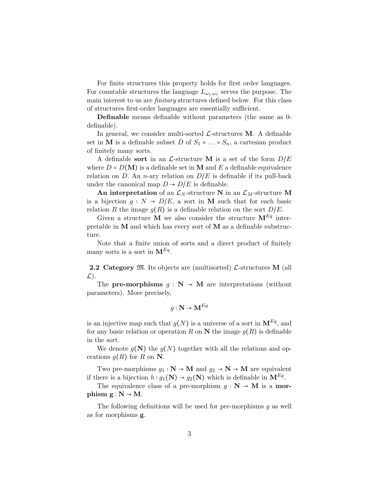For finite structures this property holds for first order languages. For countable structures the language  $L_{\omega_1,\omega_1}$  serves the purpose. The main interest to us are *finitary* structures defined below. For this class of structures first-order languages are essentially sufficient.

Definable means definable without parameters (the same as 0 definable).

In general, we consider multi-sorted  $\mathcal{L}\text{-structures } M$ . A definable set in M is a definable subset D of  $S_1 \times \ldots \times S_n$ , a cartesian product of finitely many sorts.

A definable sort in an  $\mathcal{L}\text{-structure}$  M is a set of the form  $D/E$ where  $D = D(M)$  is a definable set in M and E a definable equivalence relation on D. An n-ary relation on  $D/E$  is definable if its pull-back under the canonical map  $D \rightarrow D/E$  is definable.

An interpretation of an  $\mathcal{L}_N$ -structure N in an  $\mathcal{L}_M$ -structure M is a bijection  $g: N \to D/E$ , a sort in M such that for each basic relation R the image  $g(R)$  is a definable relation on the sort  $D/E$ .

Given a structure **M** we also consider the structure  $M^{Eq}$  interpretable in  $M$  and which has every sort of  $M$  as a definable substructure.

Note that a finite union of sorts and a direct product of finitely many sorts is a sort in  $\mathbf{M}^{Eq}$ .

**2.2 Category**  $\mathfrak{M}$ . Its objects are (multisorted)  $\mathcal{L}$ -structures **M** (all  $\mathcal{L}$ ).

The **pre-morphisms**  $g : \mathbb{N} \to \mathbb{M}$  are interpretations (without parameters). More precisely,

$$
g: \mathbf{N} \to \mathbf{M}^{Eq}
$$

is an injective map such that  $g(N)$  is a universe of a sort in  $\mathbf{M}^{Eq}$ , and for any basic relation or operation R on N the image  $g(R)$  is definable in the sort.

We denote  $g(\mathbf{N})$  the  $g(N)$  together with all the relations and operations  $g(R)$  for R on N.

Two pre-morphisms  $g_1 : \mathbb{N} \to \mathbb{M}$  and  $g_2 \to \mathbb{N} \to \mathbb{M}$  are equivalent if there is a bijection  $h: g_1(N) \to g_2(N)$  which is definable in  $\mathbf{M}^{Eq}$ .

The equivalence class of a pre-morphism  $g : \mathbb{N} \to \mathbb{M}$  is a **mor**phism  $g : N \rightarrow M$ .

The following definitions will be used for pre-morphisms g as well as for morphisms g.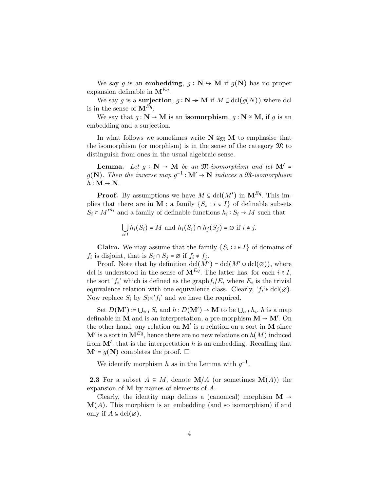We say g is an **embedding**,  $g : \mathbb{N} \to \mathbb{M}$  if  $g(\mathbb{N})$  has no proper expansion definable in  $\mathbf{M}^{Eq}$ .

We say g is a surjection,  $g : \mathbb{N} \to \mathbb{M}$  if  $M \subseteq \text{dcl}(g(N))$  where dcl is in the sense of  $\mathbf{M}^{Eq}$ .

We say that  $g : N \to M$  is an isomorphism,  $g : N \cong M$ , if g is an embedding and a surjection.

In what follows we sometimes write  $N \cong_{\mathfrak{M}} M$  to emphasise that the isomorphism (or morphism) is in the sense of the category  $\mathfrak{M}$  to distinguish from ones in the usual algebraic sense.

**Lemma.** Let  $g : \mathbb{N} \to \mathbb{M}$  be an  $\mathfrak{M}$ -isomorphism and let  $\mathbb{M}' =$  $g(\mathbf{N})$ . Then the inverse map  $g^{-1} : \mathbf{M}' \to \mathbf{N}$  induces a  $\mathfrak{M}$ -isomorphism  $h: \mathbf{M} \to \mathbf{N}$ .

**Proof.** By assumptions we have  $M \subseteq \text{dcl}(M')$  in  $\mathbf{M}^{Eq}$ . This implies that there are in **M** : a family  $\{S_i : i \in I\}$  of definable subsets  $S_i \subset M'^{n_i}$  and a family of definable functions  $h_i: S_i \to M$  such that

$$
\bigcup_{i \in I} h_i(S_i) = M \text{ and } h_i(S_i) \cap h_j(S_j) = \emptyset \text{ if } i \neq j.
$$

**Claim.** We may assume that the family  $\{S_i : i \in I\}$  of domains of  $f_i$  is disjoint, that is  $S_i \cap S_j = \emptyset$  if  $f_i \neq f_j$ .

Proof. Note that by definition  $\text{dcl}(M') = \text{dcl}(M' \cup \text{dcl}(\emptyset))$ , where dcl is understood in the sense of  $\mathbf{M}^{Eq}$ . The latter has, for each  $i \in I$ , the sort ' $f_i$ ' which is defined as the graph $f_i/E_i$  where  $E_i$  is the trivial equivalence relation with one equivalence class. Clearly,  $'f_i' \in \text{dcl}(\varnothing)$ . Now replace  $S_i$  by  $S_i \times f_i'$  and we have the required.

Set  $D(\mathbf{M}') \coloneqq \bigcup_{i \in I} S_i$  and  $h: D(\mathbf{M}') \to \mathbf{M}$  to be  $\bigcup_{i \in I} h_i$ . h is a map definable in **M** and is an interpretation, a pre-morphism  $M \rightarrow M'$ . On the other hand, any relation on  $M'$  is a relation on a sort in M since  $\mathbf{M}'$  is a sort in  $\mathbf{M}^{Eq}$ , hence there are no new relations on  $h(M)$  induced from  $M'$ , that is the interpretation h is an embedding. Recalling that  $M' = g(N)$  completes the proof.  $\square$ 

We identify morphism h as in the Lemma with  $g^{-1}$ .

**2.3** For a subset  $A \subseteq M$ , denote  $\mathbf{M}/A$  (or sometimes  $\mathbf{M}(A)$ ) the expansion of M by names of elements of A.

Clearly, the identity map defines a (canonical) morphism  $M \rightarrow$  $\mathbf{M}(A)$ . This morphism is an embedding (and so isomorphism) if and only if  $A \subseteq \text{dcl}(\emptyset)$ .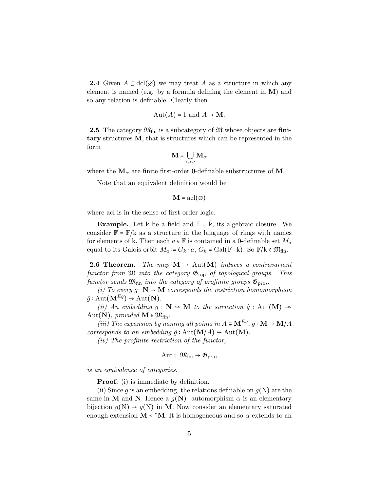**2.4** Given  $A \subseteq \text{dcl}(\emptyset)$  we may treat A as a structure in which any element is named (e.g. by a formula defining the element in M) and so any relation is definable. Clearly then

$$
Aut(A) = 1 \text{ and } A \hookrightarrow \mathbf{M}.
$$

**2.5** The category  $\mathfrak{M}_{fin}$  is a subcategory of  $\mathfrak{M}$  whose objects are finitary structures M, that is structures which can be represented in the form

$$
\mathbf{M} = \bigcup_{\alpha<\kappa} \mathbf{M}_\alpha
$$

where the  $M_{\alpha}$  are finite first-order 0-definable substructures of M.

Note that an equivalent definition would be

$$
\mathbf{M} = \operatorname{acl}(\varnothing)
$$

where acl is in the sense of first-order logic.

**Example.** Let k be a field and  $\mathbb{F} = \mathbf{k}$ , its algebraic closure. We consider  $\mathbb{F} = \mathbb{F}/k$  as a structure in the language of rings with names for elements of k. Then each  $a \in \mathbb{F}$  is contained in a 0-definable set  $M_a$ equal to its Galois orbit  $M_a \coloneqq G_k \cdot a$ ,  $G_k = \text{Gal}(\mathbb{F} : k)$ . So  $\mathbb{F}/k \in \mathfrak{M}_{fin}$ .

**2.6 Theorem.** The map  $M \rightarrow Aut(M)$  induces a contravariant functor from  $\mathfrak M$  into the category  $\mathfrak{G}_{\text{top}}$  of topological groups. This functor sends  $\mathfrak{M}_{\text{fin}}$  into the category of profinite groups  $\mathfrak{G}_{\text{pro}}$ .

(i) To every  $g : \mathbb{N} \to \mathbb{M}$  corresponds the restriction homomorphism  $\hat{g}$ : Aut $(\mathbf{M}^{Eq}) \rightarrow$  Aut $(\mathbf{N})$ .

(ii) An embedding  $g : \mathbb{N} \to \mathbb{M}$  to the surjection  $\hat{g} : \text{Aut}(\mathbb{M}) \to$ Aut(N), provided  $M \in \mathfrak{M}_{fin}$ .

(iii) The expansion by naming all points in  $A \subseteq \mathbf{M}^{Eq}$ ,  $q: \mathbf{M} \to \mathbf{M}/A$ corresponds to an embedding  $\hat{g} : Aut(\mathbf{M}/A) \to Aut(\mathbf{M}).$ 

(iv) The profinite restriction of the functor,

$$
Aut: \mathfrak{M}_{fin} \to \mathfrak{G}_{pro},
$$

is an equivalence of categories.

Proof. (i) is immediate by definition.

(ii) Since q is an embedding, the relations definable on  $q(N)$  are the same in M and N. Hence a  $g(N)$ - automorphism  $\alpha$  is an elementary bijection  $g(N) \rightarrow g(N)$  in M. Now consider an elementary saturated enough extension  $M \lt^* M$ . It is homogeneous and so  $\alpha$  extends to an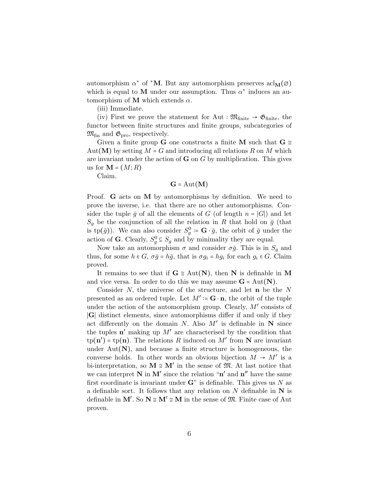automorphism  $\alpha^*$  of  $^*M$ . But any automorphism preserves  $\text{acl}_M(\varnothing)$ which is equal to M under our assumption. Thus  $\alpha^*$  induces an automorphism of **M** which extends  $\alpha$ .

(iii) Immediate.

(iv) First we prove the statement for Aut :  $\mathfrak{M}_{\text{finite}} \rightarrow \mathfrak{G}_{\text{finite}}$ , the functor between finite structures and finite groups, subcategories of  $\mathfrak{M}_{\text{fin}}$  and  $\mathfrak{G}_{\text{pro}}$ , respectively.

Given a finite group **G** one constructs a finite **M** such that **G**  $\cong$  $Aut(M)$  by setting  $M = G$  and introducing all relations R on M which are invariant under the action of  $G$  on  $G$  by multiplication. This gives us for  $M = (M; R)$ 

Claim.

$$
\mathbf{G} = \mathrm{Aut}(\mathbf{M})
$$

Proof. G acts on M by automorphisms by definition. We need to prove the inverse, i.e. that there are no other automorphisms. Consider the tuple  $\bar{g}$  of all the elements of G (of length  $n = |G|$ ) and let  $S_q$  be the conjunction of all the relation in R that hold on  $\bar{g}$  (that is tp( $\bar{g}$ )). We can also consider  $S_g^0 := \mathbf{G} \cdot \bar{g}$ , the orbit of  $\bar{g}$  under the action of **G**. Clearly,  $S_g^0 \subseteq S_g$  and by minimality they are equal.

Now take an automorphism  $\sigma$  and consider  $\sigma \bar{g}$ . This is in  $S_q$  and thus, for some  $h \in G$ ,  $\sigma \bar{g} = h \bar{g}$ , that is  $\sigma g_i = h g_i$  for each  $g_i \in G$ . Claim proved.

It remains to see that if  $G \cong Aut(N)$ , then N is definable in M and vice versa. In order to do this we may assume  $G = Aut(N)$ .

Consider  $N$ , the universe of the structure, and let  $n$  be the  $N$ presented as an ordered tuple. Let  $M' \coloneqq \mathbf{G} \cdot \mathbf{n}$ , the orbit of the tuple under the action of the automorphism group. Clearly,  $M'$  consists of ∣G∣ distinct elements, since automorphisms differ if and only if they act differently on the domain N. Also  $M'$  is definable in N since the tuples  $\mathbf{n}'$  making up  $M'$  are characterised by the condition that  $\text{tp}(\mathbf{n}') = \text{tp}(\mathbf{n})$ . The relations R induced on M' from N are invariant under  $Aut(N)$ , and because a finite structure is homogeneous, the converse holds. In other words an obvious bijection  $M \to M'$  is a bi-interpretation, so  $\mathbf{M} \cong \mathbf{M}'$  in the sense of  $\mathfrak{M}$ . At last notice that we can interpret  $N$  in  $M'$  since the relation " $n'$  and  $n''$  have the same first coordinate is invariant under  $\mathbf{G}^n$  is definable. This gives us N as a definable sort. It follows that any relation on  $N$  definable in  $N$  is definable in M'. So  $N \cong M' \cong M$  in the sense of  $\mathfrak{M}$ . Finite case of Aut proven.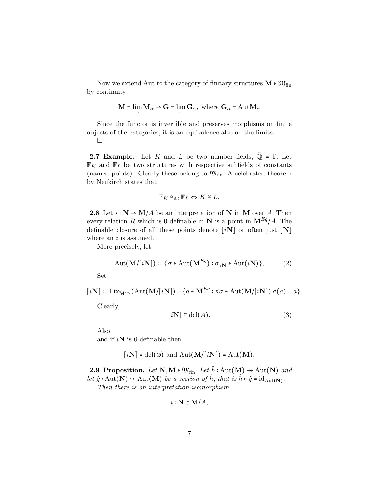Now we extend Aut to the category of finitary structures  $M \in \mathfrak{M}_{fin}$ by continuity

$$
\mathbf{M} = \lim_{\rightarrow} \mathbf{M}_{\alpha} \rightarrow \mathbf{G} = \lim_{\leftarrow} \mathbf{G}_{\alpha}, \text{ where } \mathbf{G}_{\alpha} = \text{Aut}\mathbf{M}_{\alpha}
$$

Since the functor is invertible and preserves morphisms on finite objects of the categories, it is an equivalence also on the limits.

 $\Box$ 

**2.7 Example.** Let K and L be two number fields,  $\tilde{Q} = \mathbb{F}$ . Let  $\mathbb{F}_K$  and  $\mathbb{F}_L$  be two structures with respective subfields of constants (named points). Clearly these belong to  $\mathfrak{M}_{fin}$ . A celebrated theorem by Neukirch states that

$$
\mathbb{F}_K \cong_{\mathfrak{M}} \mathbb{F}_L \Leftrightarrow K \cong L.
$$

2.8 Let  $i: \mathbb{N} \to \mathbb{M}/A$  be an interpretation of N in M over A. Then every relation R which is 0-definable in N is a point in  $\mathbf{M}^{Eq}/A$ . The definable closure of all these points denote  $[iN]$  or often just  $[N]$ where an  $i$  is assumed.

More precisely, let

$$
Aut(\mathbf{M}/[i\mathbf{N}]) \coloneqq \{ \sigma \in Aut(\mathbf{M}^{Eq}) : \sigma_{|i\mathbf{N}} \in Aut(i\mathbf{N}) \},\tag{2}
$$

Set

$$
[i\mathbf{N}] := \mathrm{Fix}_{\mathbf{M}^{Eq}}(\mathrm{Aut}(\mathbf{M}/[i\mathbf{N}]) = \{a \in \mathbf{M}^{Eq} : \forall \sigma \in \mathrm{Aut}(\mathbf{M}/[i\mathbf{N}]) \sigma(a) = a\}.
$$

Clearly,

$$
[i\mathbf{N}] \subseteq \mathbf{dcl}(A). \tag{3}
$$

Also,

and if  $i\mathbf{N}$  is 0-definable then

$$
[i\mathbf{N}] = \text{dcl}(\emptyset)
$$
 and  $\text{Aut}(\mathbf{M}/[i\mathbf{N}]) = \text{Aut}(\mathbf{M}).$ 

2.9 Proposition. Let N, M  $\in \mathfrak{M}_{fin}$ . Let  $h : \text{Aut}(\mathbf{M}) \twoheadrightarrow \text{Aut}(\mathbf{N})$  and let  $\hat{g} : \text{Aut}(\mathbf{N}) \to \text{Aut}(\mathbf{M})$  be a section of  $\hat{h}$ , that is  $\hat{h} \circ \hat{g} = \text{id}_{\text{Aut}(\mathbf{N})}$ . Then there is an interpretation-isomorphism

$$
i:\mathbf{N}\cong\mathbf{M}/A,
$$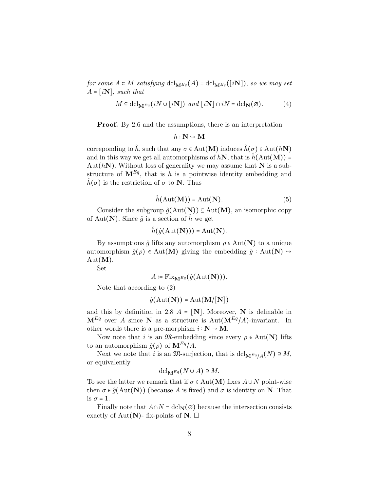for some  $A \subset M$  satisfying  $dcl_{\mathbf{M}^{Eq}}(A) = dcl_{\mathbf{M}^{Eq}}([i\mathbf{N}]),$  so we may set  $A = [iN]$ , such that

$$
M \subseteq \operatorname{dcl}_{\mathbf{M}^{Eq}}(iN \cup [i\mathbf{N}]) \ \ and \ [i\mathbf{N}] \cap iN = \operatorname{dcl}_{\mathbf{N}}(\varnothing). \tag{4}
$$

Proof. By 2.6 and the assumptions, there is an interpretation

$$
h:\mathbf{N}\hookrightarrow\mathbf{M}
$$

correponding to  $\hat{h}$ , such that any  $\sigma \in Aut(M)$  induces  $\hat{h}(\sigma) \in Aut(hN)$ and in this way we get all automorphisms of  $hN$ , that is  $\hat{h}(Aut(M))$  = Aut( $hN$ ). Without loss of generality we may assume that N is a substructure of  $\mathbf{M}^{Eq}$ , that is h is a pointwise identity embedding and  $\hat{h}(\sigma)$  is the restriction of  $\sigma$  to **N**. Thus

$$
\hat{h}(\text{Aut}(\mathbf{M})) = \text{Aut}(\mathbf{N}).\tag{5}
$$

Consider the subgroup  $\hat{g}(\text{Aut}(\mathbf{N})) \subseteq \text{Aut}(\mathbf{M})$ , an isomorphic copy of Aut(N). Since  $\hat{g}$  is a section of  $\hat{h}$  we get

$$
\hat{h}(\hat{g}(\operatorname{Aut}(\mathbf{N}))) = \operatorname{Aut}(\mathbf{N}).
$$

By assumptions  $\hat{g}$  lifts any automorphism  $\rho \in Aut(N)$  to a unique automorphism  $\hat{g}(\rho) \in Aut(M)$  giving the embedding  $\hat{g} : Aut(N) \rightarrow$  $Aut(M).$ 

Set

$$
A \coloneqq \mathrm{Fix}_{\mathbf{M}^{Eq}}(\hat{g}(\mathrm{Aut}(\mathbf{N}))).
$$

Note that according to (2)

$$
\hat{g}(\mathrm{Aut}(\mathbf{N})) = \mathrm{Aut}(\mathbf{M}/[\mathbf{N}])
$$

and this by definition in 2.8  $A = [N]$ . Moreover, N is definable in  $M^{Eq}$  over A since N as a structure is Aut $(M^{Eq}/A)$ -invariant. In other words there is a pre-morphism  $i : \mathbf{N} \to \mathbf{M}$ .

Now note that i is an  $\mathfrak{M}\text{-embedding}$  since every  $\rho \in \text{Aut}(\mathbf{N})$  lifts to an automorphism  $\hat{g}(\rho)$  of  $\mathbf{M}^{Eq}/A$ .

Next we note that i is an  $\mathfrak{M}$ -surjection, that is  $dcl_{\mathbf{M}^{Eq}/A}(N) \supseteq M$ , or equivalently

$$
\mathrm{dcl}_{\mathbf{M}^{Eq}}(N\cup A)\supseteq M.
$$

To see the latter we remark that if  $\sigma \in \text{Aut}(\mathbf{M})$  fixes  $A \cup N$  point-wise then  $\sigma \in \hat{g}(\text{Aut}(\mathbf{N}))$  (because A is fixed) and  $\sigma$  is identity on N. That is  $\sigma = 1$ .

Finally note that  $A \cap N = \text{dcl}_{\mathbf{N}}(\emptyset)$  because the intersection consists exactly of Aut(N)- fix-points of N.  $\Box$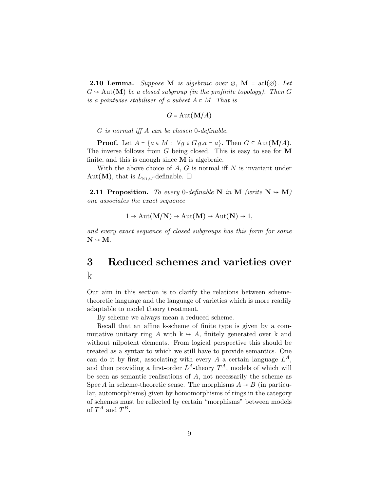**2.10 Lemma.** Suppose M is algebraic over  $\varnothing$ , M = acl $(\varnothing)$ . Let  $G \rightarrow Aut(M)$  be a closed subgroup (in the profinite topology). Then G is a pointwise stabiliser of a subset  $A \subset M$ . That is

$$
G = \mathrm{Aut}(\mathbf{M}/A)
$$

G is normal iff A can be chosen 0-definable.

**Proof.** Let  $A = \{a \in M : \forall g \in G \cup g.a = a\}$ . Then  $G \subseteq Aut(M/A)$ . The inverse follows from  $G$  being closed. This is easy to see for  $M$ finite, and this is enough since  $M$  is algebraic.

With the above choice of  $A, G$  is normal iff  $N$  is invariant under Aut(M), that is  $L_{\omega_1,\omega}$ -definable.  $\square$ 

**2.11 Proposition.** To every 0-definable N in M (write  $N \rightarrow M$ ) one associates the exact sequence

$$
1 \to \text{Aut}(\mathbf{M/N}) \to \text{Aut}(\mathbf{M}) \to \text{Aut}(\mathbf{N}) \to 1,
$$

and every exact sequence of closed subgroups has this form for some  $N \hookrightarrow M$ .

# 3 Reduced schemes and varieties over k

Our aim in this section is to clarify the relations between schemetheoretic language and the language of varieties which is more readily adaptable to model theory treatment.

By scheme we always mean a reduced scheme.

Recall that an affine k-scheme of finite type is given by a commutative unitary ring A with  $k \to A$ , finitely generated over k and without nilpotent elements. From logical perspective this should be treated as a syntax to which we still have to provide semantics. One can do it by first, associating with every A a certain language  $L^A$ , and then providing a first-order  $L^A$ -theory  $T^A$ , models of which will be seen as semantic realisations of  $A$ , not necessarily the scheme as Spec A in scheme-theoretic sense. The morphisms  $A \rightarrow B$  (in particular, automorphisms) given by homomorphisms of rings in the category of schemes must be reflected by certain "morphisms" between models of  $T^A$  and  $T^B$ .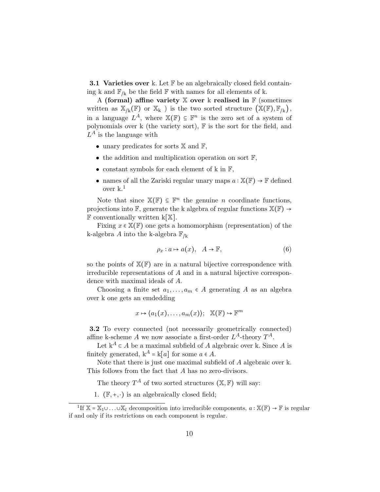**3.1 Varieties over** k. Let  $\mathbb{F}$  be an algebraically closed field containing k and  $\mathbb{F}_{/k}$  be the field  $\mathbb F$  with names for all elements of k.

A (formal) affine variety  $X$  over k realised in  $F$  (sometimes written as  $\mathbb{X}_{k}(\mathbb{F})$  or  $\mathbb{X}_{k}$  ) is the two sorted structure  $(\mathbb{X}(\mathbb{F}), \mathbb{F}_{k})$ , in a language  $L^A$ , where  $\mathbb{X}(\mathbb{F}) \subseteq \mathbb{F}^n$  is the zero set of a system of polynomials over k (the variety sort), F is the sort for the field, and  $L^A$  is the language with

- unary predicates for sorts  $X$  and  $F$ ,
- the addition and multiplication operation on sort  $\mathbb{F}$ ,
- constant symbols for each element of k in F,
- names of all the Zariski regular unary maps  $a : \mathbb{X}(\mathbb{F}) \to \mathbb{F}$  defined over k. 1

Note that since  $\mathbb{X}(\mathbb{F}) \subseteq \mathbb{F}^n$  the genuine *n* coordinate functions, projections into  $\mathbb{F}$ , generate the k algebra of regular functions  $\mathbb{X}(\mathbb{F}) \rightarrow$  $\mathbb F$  conventionally written k[X].

Fixing  $x \in \mathbb{X}(\mathbb{F})$  one gets a homomorphism (representation) of the k-algebra A into the k-algebra  $\mathbb{F}_{/k}$ 

$$
\rho_x: a \mapsto a(x), \quad A \to \mathbb{F}, \tag{6}
$$

so the points of  $X(\mathbb{F})$  are in a natural bijective correspondence with irreducible representations of A and in a natural bijective correspondence with maximal ideals of A.

Choosing a finite set  $a_1, \ldots, a_m \in A$  generating A as an algebra over k one gets an emdedding

$$
x \mapsto \langle a_1(x), \ldots, a_m(x) \rangle; \mathbb{X}(\mathbb{F}) \hookrightarrow \mathbb{F}^m
$$

3.2 To every connected (not necessarily geometrically connected) affine k-scheme A we now associate a first-order  $L^A$ -theory  $T^A$ .

Let  $k^A \subset A$  be a maximal subfield of A algebraic over k. Since A is finitely generated,  $k^A = k[a]$  for some  $a \in A$ .

Note that there is just one maximal subfield of A algebraic over k. This follows from the fact that A has no zero-divisors.

The theory  $T^A$  of two sorted structures  $(\mathbb{X}, \mathbb{F})$  will say:

1.  $(\mathbb{F}, +, \cdot)$  is an algebraically closed field;

<sup>&</sup>lt;sup>1</sup>If  $\mathbb{X} = \mathbb{X}_1 \cup ... \cup \mathbb{X}_l$  decomposition into irreducible components,  $a : \mathbb{X}(\mathbb{F}) \to \mathbb{F}$  is regular if and only if its restrictions on each component is regular.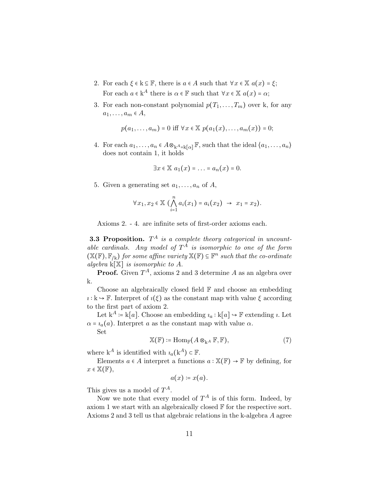- 2. For each  $\xi \in k \subseteq \mathbb{F}$ , there is  $a \in A$  such that  $\forall x \in \mathbb{X}$   $a(x) = \xi$ ; For each  $a \in k^A$  there is  $\alpha \in \mathbb{F}$  such that  $\forall x \in \mathbb{X}$   $a(x) = \alpha$ ;
- 3. For each non-constant polynomial  $p(T_1, \ldots, T_m)$  over k, for any  $a_1, \ldots, a_m \in A$ ,

$$
p(a_1,..., a_m) = 0
$$
 iff  $\forall x \in \mathbb{X} \ p(a_1(x),..., a_m(x)) = 0;$ 

4. For each  $a_1, \ldots, a_n \in A \otimes_{k^A = k[\alpha]} \mathbb{F}$ , such that the ideal  $\langle a_1, \ldots, a_n \rangle$ does not contain 1, it holds

$$
\exists x \in \mathbb{X} \ a_1(x) = \ldots = a_n(x) = 0.
$$

5. Given a generating set  $a_1, \ldots, a_n$  of A,

$$
\forall x_1, x_2 \in \mathbb{X} \; \bigl( \bigwedge_{i=1}^n a_i(x_1) = a_i(x_2) \; \rightarrow \; x_1 = x_2 \bigr).
$$

Axioms 2. - 4. are infinite sets of first-order axioms each.

**3.3 Proposition.**  $T^A$  is a complete theory categorical in uncountable cardinals. Any model of  $T^A$  is isomorphic to one of the form  $(\mathbb{X}(\mathbb{F}), \mathbb{F}_{/k})$  for some affine variety  $\mathbb{X}(\mathbb{F}) \subseteq \mathbb{F}^n$  such that the co-ordinate algebra  $k[\mathbb{X}]$  is isomorphic to A.

**Proof.** Given  $T^A$ , axioms 2 and 3 determine A as an algebra over k.

Choose an algebraically closed field  $\mathbb F$  and choose an embedding  $\iota : \mathbf{k} \to \mathbb{F}$ . Interpret of  $\iota(\xi)$  as the constant map with value  $\xi$  according to the first part of axiom 2.

Let  $k^A := k[a]$ . Choose an embedding  $i_a : k[a] \rightarrow \mathbb{F}$  extending *i*. Let  $\alpha = i_a(a)$ . Interpret a as the constant map with value  $\alpha$ .

Set

$$
\mathbb{X}(\mathbb{F}) \coloneqq \text{Hom}_{\mathbb{F}}(A \otimes_{\mathbf{k}^A} \mathbb{F}, \mathbb{F}),\tag{7}
$$

where  $k^A$  is identified with  $i_a(k^A) \in \mathbb{F}$ .

Elements  $a \in A$  interpret a functions  $a : \mathbb{X}(\mathbb{F}) \to \mathbb{F}$  by defining, for  $x \in \mathbb{X}(\mathbb{F}),$ 

$$
a(x) \coloneqq x(a).
$$

This gives us a model of  $T^A$ .

Now we note that every model of  $T^A$  is of this form. Indeed, by axiom 1 we start with an algebraically closed  $\mathbb F$  for the respective sort. Axioms 2 and 3 tell us that algebraic relations in the k-algebra A agree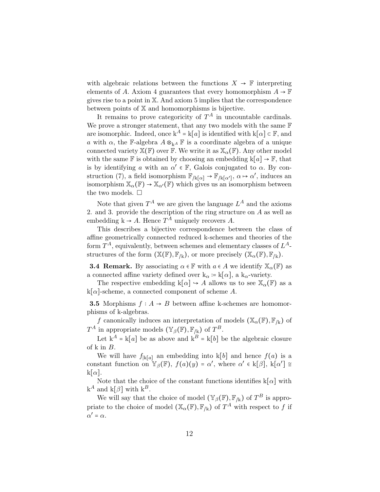with algebraic relations between the functions  $X \to \mathbb{F}$  interpreting elements of A. Axiom 4 guarantees that every homomorphism  $A \to \mathbb{F}$ gives rise to a point in X. And axiom 5 implies that the correspondence between points of X and homomorphisms is bijective.

It remains to prove categoricity of  $T^A$  in uncountable cardinals. We prove a stronger statement, that any two models with the same  $\mathbb F$ are isomorphic. Indeed, once  $k^A = k[a]$  is identified with  $k[\alpha] \subset \mathbb{F}$ , and a with  $\alpha$ , the F-algebra  $A \otimes_{kA} F$  is a coordinate algebra of a unique connected variety  $\mathbb{X}(\mathbb{F})$  over  $\mathbb{F}$ . We write it as  $\mathbb{X}_{\alpha}(\mathbb{F})$ . Any other model with the same F is obtained by choosing an embedding  $k[a] \to F$ , that is by identifying a with an  $\alpha' \in \mathbb{F}$ , Galois conjugated to  $\alpha$ . By construction (7), a field isomorphism  $\mathbb{F}_{/k[\alpha]} \to \mathbb{F}_{/k[\alpha']}$ ,  $\alpha \mapsto \alpha'$ , induces an isomorphism  $\mathbb{X}_{\alpha}(\mathbb{F}) \to \mathbb{X}_{\alpha'}(\mathbb{F})$  which gives us an isomorphism between the two models.  $\square$ 

Note that given  $T^A$  we are given the language  $L^A$  and the axioms 2. and 3. provide the description of the ring structure on A as well as embedding  $k \to A$ . Hence  $T^A$  uniquely recovers A.

This describes a bijective correspondence between the class of affine geometrically connected reduced k-schemes and theories of the form  $T^A$ , equivalently, between schemes and elementary classes of  $L^A$ structures of the form  $(\mathbb{X}(\mathbb{F}), \mathbb{F}_{/k})$ , or more precisely  $(\mathbb{X}_{\alpha}(\mathbb{F}), \mathbb{F}_{/k})$ .

**3.4 Remark.** By associating  $\alpha \in \mathbb{F}$  with  $a \in A$  we identify  $\mathbb{X}_{\alpha}(\mathbb{F})$  as a connected affine variety defined over  $k_{\alpha} := k[\alpha]$ , a  $k_{\alpha}$ -variety.

The respective embedding  $k[\alpha] \rightarrow A$  allows us to see  $\mathbb{X}_{\alpha}(\mathbb{F})$  as a  $k[\alpha]$ -scheme, a connected component of scheme A.

**3.5** Morphisms  $f : A \rightarrow B$  between affine k-schemes are homomorphisms of k-algebras.

f canonically induces an interpretation of models  $(\mathbb{X}_{\alpha}(\mathbb{F}), \mathbb{F}_{k})$  of  $T^A$  in appropriate models  $(\mathbb{Y}_{\beta}(\mathbb{F}), \mathbb{F}_{/k})$  of  $T^B$ .

Let  $k^A = k[a]$  be as above and  $k^B = k[b]$  be the algebraic closure of k in B.

We will have  $f_{\vert k[a]}$  an embedding into k[b] and hence  $f(a)$  is a constant function on  $\mathbb{Y}_{\beta}(\mathbb{F})$ ,  $f(a)(y) = \alpha'$ , where  $\alpha' \in k[\beta]$ ,  $k[\alpha'] \cong$  $k[\alpha]$ .

Note that the choice of the constant functions identifies  $k[\alpha]$  with  $k^A$  and  $k[\beta]$  with  $k^B$ .

We will say that the choice of model  $(\mathbb{Y}_{\beta}(\mathbb{F}), \mathbb{F}_{/k})$  of  $T^B$  is appropriate to the choice of model  $(\mathbb{X}_{\alpha}(\mathbb{F}), \mathbb{F}_{/k})$  of  $T^A$  with respect to f if  $\alpha' = \alpha$ .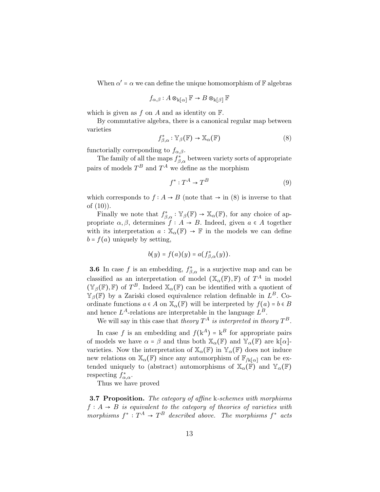When  $\alpha'$  =  $\alpha$  we can define the unique homomorphism of  $\mathbb F$  algebras

$$
f_{\alpha,\beta}:A\otimes_{\mathbf{k}[\alpha]} \mathbb{F} \rightarrow B\otimes_{\mathbf{k}[\beta]} \mathbb{F}
$$

which is given as  $f$  on  $A$  and as identity on  $\mathbb{F}$ .

By commutative algebra, there is a canonical regular map between varieties

$$
f_{\beta,\alpha}^* : \mathbb{Y}_{\beta}(\mathbb{F}) \to \mathbb{X}_{\alpha}(\mathbb{F})
$$
 (8)

functorially correponding to  $f_{\alpha,\beta}$ .

The family of all the maps  $f^*_{\beta,\alpha}$  between variety sorts of appropriate pairs of models  $T^B$  and  $T^A$  we define as the morphism

$$
f^*: T^A \to T^B \tag{9}
$$

which corresponds to  $f : A \rightarrow B$  (note that  $\rightarrow$  in (8) is inverse to that of (10)).

Finally we note that  $f_{\beta,\alpha}^* : \mathbb{Y}_{\beta}(\mathbb{F}) \to \mathbb{X}_{\alpha}(\mathbb{F})$ , for any choice of appropriate  $\alpha, \beta$ , determines  $f : A \rightarrow B$ . Indeed, given  $a \in A$  together with its interpretation  $a : \mathbb{X}_{\alpha}(\mathbb{F}) \to \mathbb{F}$  in the models we can define  $b = f(a)$  uniquely by setting,

$$
b(y) = f(a)(y) = a(f_{\beta,\alpha}^*(y)).
$$

**3.6** In case f is an embedding,  $f_{\beta,\alpha}^*$  is a surjective map and can be classified as an interpretation of model  $(\mathbb{X}_{\alpha}(\mathbb{F}), \mathbb{F})$  of  $T^A$  in model  $(\mathbb{Y}_{\beta}(\mathbb{F}), \mathbb{F})$  of  $T^B$ . Indeed  $\mathbb{X}_{\alpha}(\mathbb{F})$  can be identified with a quotient of  $\mathbb{Y}_{\beta}(\mathbb{F})$  by a Zariski closed equivalence relation definable in  $L^B$ . Coordinate functions  $a \in A$  on  $\mathbb{X}_{\alpha}(\mathbb{F})$  will be interpreted by  $f(a) = b \in B$ and hence  $L^A$ -relations are interpretable in the language  $L^B$ .

We will say in this case that theory  $T^A$  is interpreted in theory  $T^B$ .

In case f is an embedding and  $f(k^A) = k^B$  for appropriate pairs of models we have  $\alpha = \beta$  and thus both  $\mathbb{X}_{\alpha}(\mathbb{F})$  and  $\mathbb{Y}_{\alpha}(\mathbb{F})$  are  $k[\alpha]$ varieties. Now the interpretation of  $\mathbb{X}_{\alpha}(\mathbb{F})$  in  $\mathbb{Y}_{\alpha}(\mathbb{F})$  does not induce new relations on  $\mathbb{X}_{\alpha}(\mathbb{F})$  since any automorphism of  $\mathbb{F}_{/k[\alpha]}$  can be extended uniquely to (abstract) automorphisms of  $\mathbb{X}_{\alpha}(\mathbb{F})$  and  $\mathbb{Y}_{\alpha}(\mathbb{F})$ respecting  $f^*_{\alpha,\alpha}$ .

Thus we have proved

**3.7 Proposition.** The category of affine k-schemes with morphisms  $f: A \rightarrow B$  is equivalent to the category of theories of varieties with morphisms  $f^*: T^A \to T^B$  described above. The morphisms  $f^*$  acts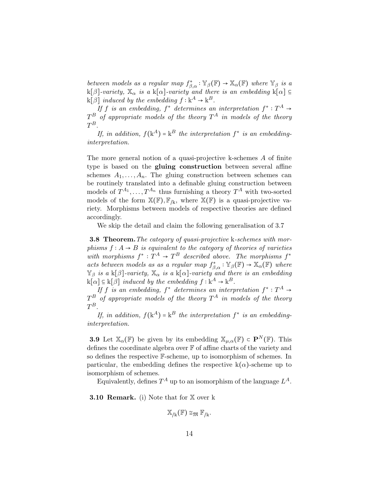between models as a regular map  $f_{\beta,\alpha}^* : \mathbb{Y}_{\beta}(\mathbb{F}) \to \mathbb{X}_{\alpha}(\mathbb{F})$  where  $\mathbb{Y}_{\beta}$  is a  $k[\beta]$ -variety,  $\mathbb{X}_{\alpha}$  is a k[ $\alpha$ ]-variety and there is an embedding k[ $\alpha$ ] ⊆  $k[\beta]$  induced by the embedding  $f : k^A \to k^B$ .

If f is an embedding,  $f^*$  determines an interpretation  $f^*: T^A \rightarrow$ T  $^B$  of appropriate models of the theory  $T^A$  in models of the theory  $T^B.$ 

If, in addition,  $f(k^A) = k^B$  the interpretation  $f^*$  is an embeddinginterpretation.

The more general notion of a quasi-projective k-schemes A of finite type is based on the **gluing construction** between several affine schemes  $A_1, \ldots, A_n$ . The gluing construction between schemes can be routinely translated into a definable gluing construction between models of  $T^{A_1}, \ldots, T^{A_n}$  thus furnishing a theory  $T^A$  with two-sorted models of the form  $\mathbb{X}(\mathbb{F}), \mathbb{F}_{/k}$ , where  $\mathbb{X}(\mathbb{F})$  is a quasi-projective variety. Morphisms between models of respective theories are defined accordingly.

We skip the detail and claim the following generalisation of 3.7

**3.8 Theorem.** The category of quasi-projective k-schemes with morphisms  $f : A \rightarrow B$  is equivalent to the category of theories of varieties with morphisms  $f^*: T^A \to T^B$  described above. The morphisms  $f^*$ acts between models as as a regular map  $f_{\beta,\alpha}^* : \mathbb{Y}_{\beta}(\mathbb{F}) \to \mathbb{X}_{\alpha}(\mathbb{F})$  where  $\mathbb{Y}_{\beta}$  is a k[ $\beta$ ]-variety,  $\mathbb{X}_{\alpha}$  is a k[ $\alpha$ ]-variety and there is an embedding  $\mathbf{k}[\alpha] \subseteq \mathbf{k}[\beta]$  induced by the embedding  $f : \mathbf{k}^A \to \mathbf{k}^B$ .

If f is an embedding,  $f^*$  determines an interpretation  $f^*: T^A \rightarrow$  $T^B$  of appropriate models of the theory  $T^A$  in models of the theory  $T^B.$ 

If, in addition,  $f(k^A) = k^B$  the interpretation  $f^*$  is an embeddinginterpretation.

**3.9** Let  $\mathbb{X}_{\alpha}(\mathbb{F})$  be given by its embedding  $\mathbb{X}_{\mu,\alpha}(\mathbb{F}) \subset \mathbf{P}^N(\mathbb{F})$ . This defines the coordinate algebra over  $\mathbb F$  of affine charts of the variety and so defines the respective F-scheme, up to isomorphism of schemes. In particular, the embedding defines the respective  $k(\alpha)$ -scheme up to isomorphism of schemes.

Equivalently, defines  $T^A$  up to an isomorphism of the language  $L^A$ .

**3.10 Remark.** (i) Note that for X over k

$$
\mathbb{X}_{/k}(\mathbb{F}) \cong_{\mathfrak{M}} \mathbb{F}_{/k}.
$$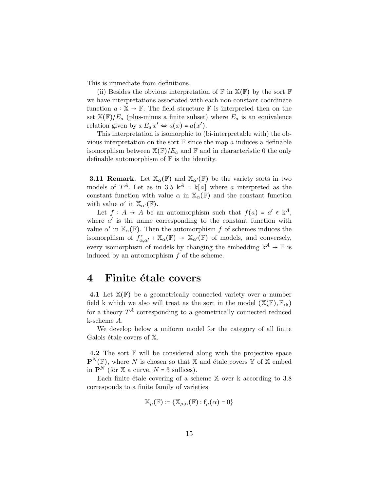This is immediate from definitions.

(ii) Besides the obvious interpretation of  $\mathbb F$  in  $\mathbb{X}(\mathbb F)$  by the sort  $\mathbb F$ we have interpretations associated with each non-constant coordinate function  $a: \mathbb{X} \to \mathbb{F}$ . The field structure  $\mathbb{F}$  is interpreted then on the set  $\mathbb{X}(\mathbb{F})/E_a$  (plus-minus a finite subset) where  $E_a$  is an equivalence relation given by  $x E_a x' \Leftrightarrow a(x) = a(x')$ .

This interpretation is isomorphic to (bi-interpretable with) the obvious interpretation on the sort  $\mathbb F$  since the map a induces a definable isomorphism between  $\mathbb{X}(\mathbb{F})/E_a$  and  $\mathbb{F}$  and in characteristic 0 the only definable automorphism of  $\mathbb F$  is the identity.

**3.11 Remark.** Let  $\mathbb{X}_{\alpha}(\mathbb{F})$  and  $\mathbb{X}_{\alpha'}(\mathbb{F})$  be the variety sorts in two models of  $T^A$ . Let as in 3.5  $k^A = k[a]$  where a interpreted as the constant function with value  $\alpha$  in  $\mathbb{X}_{\alpha}(\mathbb{F})$  and the constant function with value  $\alpha'$  in  $\mathbb{X}_{\alpha'}(\mathbb{F})$ .

Let  $f: A \to A$  be an automorphism such that  $f(a) = a' \in k^A$ , where  $a'$  is the name corresponding to the constant function with value  $\alpha'$  in  $\mathbb{X}_{\alpha}(\mathbb{F})$ . Then the automorphism f of schemes induces the isomorphism of  $f^*_{\alpha,\alpha'} : \mathbb{X}_{\alpha}(\mathbb{F}) \to \mathbb{X}_{\alpha'}(\mathbb{F})$  of models, and conversely, every isomorphism of models by changing the embedding  $k^A \rightarrow \mathbb{F}$  is induced by an automorphism  $f$  of the scheme.

### 4 Finite étale covers

4.1 Let  $\mathbb{X}(\mathbb{F})$  be a geometrically connected variety over a number field k which we also will treat as the sort in the model  $(\mathbb{X}(\mathbb{F}), \mathbb{F}_{/k})$ for a theory  $T^A$  corresponding to a geometrically connected reduced k-scheme A.

We develop below a uniform model for the category of all finite Galois étale covers of  $X$ .

**4.2** The sort  $\mathbb{F}$  will be considered along with the projective space  $\mathbf{P}^{N}(\mathbb{F})$ , where N is chosen so that X and étale covers Y of X embed in  $\mathbf{P}^N$  (for X a curve,  $N = 3$  suffices).

Each finite étale covering of a scheme  $X$  over k according to 3.8 corresponds to a finite family of varieties

$$
\mathbb{X}_{\mu}(\mathbb{F}) \coloneqq \{ \mathbb{X}_{\mu,\alpha}(\mathbb{F}) : \mathbf{f}_{\mu}(\alpha) = 0 \}
$$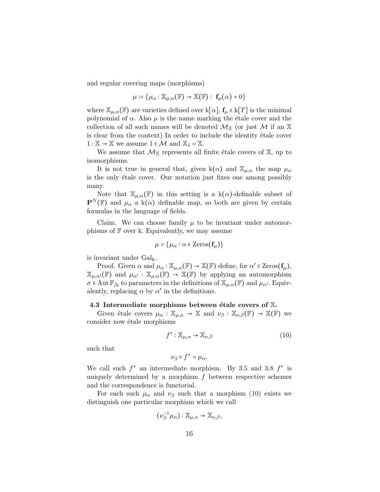and regular covering maps (morphisms)

$$
\mu \coloneqq \{ \mu_\alpha : \mathbb{X}_{\mu,\alpha}(\mathbb{F}) \to \mathbb{X}(\mathbb{F}) : \mathbf{f}_{\mu}(\alpha) = 0 \}
$$

where  $\mathbb{X}_{\mu,\alpha}(\mathbb{F})$  are varieties defined over  $k[\alpha]$ ,  $f_{\mu} \in k[T]$  is the minimal polynomial of  $\alpha$ . Also  $\mu$  is the name marking the étale cover and the collection of all such names will be denoted  $\mathcal{M}_{\mathbb{X}}$  (or just  $\mathcal M$  if an X is clear from the context) In order to include the identity étale cover  $1: \mathbb{X} \to \mathbb{X}$  we assume  $1 \in \mathcal{M}$  and  $\mathbb{X}_1 = \mathbb{X}$ .

We assume that  $\mathcal{M}_{\mathbb{X}}$  represents all finite étale covers of  $\mathbb{X}$ , up to isomorphisms.

It is not true in general that, given k( $\alpha$ ) and  $\mathbb{X}_{\mu,\alpha}$  the map  $\mu_{\alpha}$ is the only étale cover. Our notation just fixes one among possibly many.

Note that  $\mathbb{X}_{\mu,\alpha}(\mathbb{F})$  in this setting is a k( $\alpha$ )-definable subset of  $\mathbf{P}^{N}(\mathbb{F})$  and  $\mu_{\alpha}$  a k( $\alpha$ ) definable map, so both are given by certain formulas in the language of fields.

Claim. We can choose family  $\mu$  to be invariant under automorphisms of  $F$  over k. Equivalently, we may assume

$$
\mu = \{ \mu_{\alpha} : \alpha \in \text{Zeros}(\mathbf{f}_{\mu}) \}
$$

is invariant under  $Gal_{k}$ .

Proof. Given  $\alpha$  and  $\mu_{\alpha} : \mathbb{X}_{\mu,\alpha}(\mathbb{F}) \to \mathbb{X}(\mathbb{F})$  define, for  $\alpha' \in \text{Zeros}(\mathbf{f}_{\mu}),$  $\mathbb{X}_{\mu,\alpha'}(\mathbb{F})$  and  $\mu_{\alpha'} : \mathbb{X}_{\mu,\alpha}(\mathbb{F}) \to \mathbb{X}(\mathbb{F})$  by applying an automorphism  $\sigma \in \text{Aut } \mathbb{F}_{/k}$  to parameters in the definitions of  $\mathbb{X}_{\mu,\alpha}(\mathbb{F})$  and  $\mu_{\alpha'}$ . Equivalently, replacing  $\alpha$  by  $\alpha'$  in the definitions.

#### 4.3 Intermediate morphisms between étale covers of  $X$ .

Given étale covers  $\mu_{\alpha} : \mathbb{X}_{\mu,\alpha} \to \mathbb{X}$  and  $\nu_{\beta} : \mathbb{X}_{\nu,\beta}(\mathbb{F}) \to \mathbb{X}(\mathbb{F})$  we consider now étale morphisms

$$
f^* : \mathbb{X}_{\mu,\alpha} \to \mathbb{X}_{\nu,\beta} \tag{10}
$$

such that

$$
\nu_{\beta} \circ f^* = \mu_{\alpha}.
$$

We call such  $f^*$  an intermediate morphism. By 3.5 and 3.8  $f^*$  is uniquely determined by a morphism  $f$  between respective schemes and the correspondence is functorial.

For each such  $\mu_{\alpha}$  and  $\nu_{\beta}$  such that a morphism (10) exists we distinguish one particular morphism which we call

$$
(\nu_{\beta}^{-1}\mu_{\alpha}):\mathbb{X}_{\mu,\alpha}\to \mathbb{X}_{\nu,\beta},
$$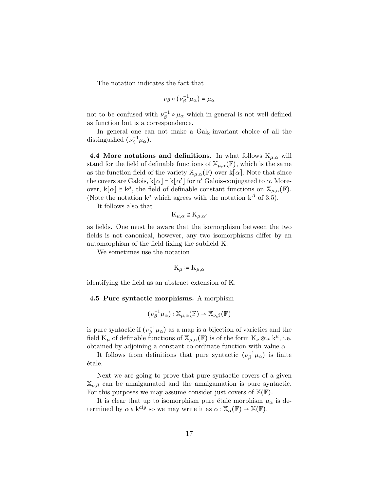The notation indicates the fact that

$$
\nu_\beta\circ\big(\nu_\beta^{-1}\mu_\alpha\big)=\mu_\alpha
$$

not to be confused with  $\nu_{\beta}^{-1} \circ \mu_{\alpha}$  which in general is not well-defined as function but is a correspondence.

In general one can not make a  $Gal_k$ -invariant choice of all the distingushed  $(\nu_{\beta}^{-1}\mu_{\alpha})$ .

4.4 More notations and definitions. In what follows  $K_{\mu,\alpha}$  will stand for the field of definable functions of  $\mathbb{X}_{\mu,\alpha}(\mathbb{F})$ , which is the same as the function field of the variety  $\mathbb{X}_{\mu,\alpha}(\mathbb{F})$  over k[ $\alpha$ ]. Note that since the covers are Galois,  $k[\alpha] = k[\alpha']$  for  $\alpha'$  Galois-conjugated to  $\alpha$ . Moreover,  $k[\alpha] \cong k^{\mu}$ , the field of definable constant functions on  $\mathbb{X}_{\mu,\alpha}(\mathbb{F})$ . (Note the notation  $k^{\mu}$  which agrees with the notation  $k^A$  of 3.5).

It follows also that

$$
K_{\mu,\alpha} \cong K_{\mu,\alpha'}
$$

as fields. One must be aware that the isomorphism between the two fields is not canonical, however, any two isomorphisms differ by an automorphism of the field fixing the subfield K.

We sometimes use the notation

$$
\mathrm{K}_{\mu}\coloneqq \mathrm{K}_{\mu,\alpha}
$$

identifying the field as an abstract extension of K.

#### 4.5 Pure syntactic morphisms. A morphism

$$
(\nu_\beta^{-1}\mu_\alpha):\mathbb{X}_{\mu,\alpha}(\mathbb{F})\to\mathbb{X}_{\nu,\beta}(\mathbb{F})
$$

is pure syntactic if  $(\nu_{\beta}^{-1}\mu_{\alpha})$  as a map is a bijection of varieties and the field  $K_{\mu}$  of definable functions of  $\mathbb{X}_{\mu,\alpha}(\mathbb{F})$  is of the form  $K_{\nu} \otimes_{k^{\nu}} k^{\mu}$ , i.e. obtained by adjoining a constant co-ordinate function with value  $\alpha.$ 

It follows from definitions that pure syntactic  $(\nu_{\beta}^{-1}\mu_{\alpha})$  is finite ´etale.

Next we are going to prove that pure syntactic covers of a given  $\mathbb{X}_{\nu,\beta}$  can be amalgamated and the amalgamation is pure syntactic. For this purposes we may assume consider just covers of  $\mathbb{X}(\mathbb{F})$ .

It is clear that up to isomorphism pure étale morphism  $\mu_{\alpha}$  is determined by  $\alpha \in k^{alg}$  so we may write it as  $\alpha : \mathbb{X}_{\alpha}(\mathbb{F}) \to \mathbb{X}(\mathbb{F})$ .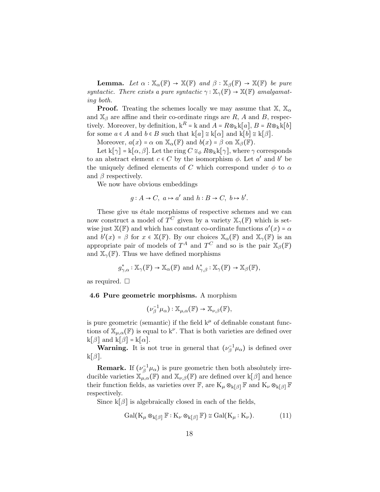**Lemma.** Let  $\alpha : \mathbb{X}_{\alpha}(\mathbb{F}) \to \mathbb{X}(\mathbb{F})$  and  $\beta : \mathbb{X}_{\beta}(\mathbb{F}) \to \mathbb{X}(\mathbb{F})$  be pure syntactic. There exists a pure syntactic  $\gamma : \mathbb{X}_{\gamma}(\mathbb{F}) \to \mathbb{X}(\mathbb{F})$  amalgamating both.

**Proof.** Treating the schemes locally we may assume that  $\mathbb{X}, \mathbb{X}_{\alpha}$ and  $\mathbb{X}_{\beta}$  are affine and their co-ordinate rings are R, A and B, respectively. Moreover, by definition,  $k^R = k$  and  $A = R \otimes_k k[a], B = R \otimes_k k[b]$ for some  $a \in A$  and  $b \in B$  such that  $k[a] \cong k[\alpha]$  and  $k[b] \cong k[\beta]$ .

Moreover,  $a(x) = \alpha$  on  $\mathbb{X}_{\alpha}(\mathbb{F})$  and  $b(x) = \beta$  on  $\mathbb{X}_{\beta}(\mathbb{F})$ .

Let  $k[\gamma] = k[\alpha, \beta]$ . Let the ring  $C \cong_{\phi} R \otimes_{k} k[\gamma]$ , where  $\gamma$  corresponds to an abstract element  $c \in C$  by the isomorphism  $\phi$ . Let  $a'$  and  $b'$  be the uniquely defined elements of C which correspond under  $\phi$  to  $\alpha$ and  $\beta$  respectively.

We now have obvious embeddings

$$
g: A \to C
$$
,  $a \mapsto a'$  and  $h: B \to C$ ,  $b \mapsto b'$ .

These give us étale morphisms of respective schemes and we can now construct a model of  $T^C$  given by a variety  $\mathbb{X}_{\gamma}(\mathbb{F})$  which is setwise just  $\mathbb{X}(\mathbb{F})$  and which has constant co-ordinate functions  $a'(x) = \alpha$ and  $b'(x) = \beta$  for  $x \in \mathbb{X}(\mathbb{F})$ . By our choices  $\mathbb{X}_{\alpha}(\mathbb{F})$  and  $\mathbb{X}_{\gamma}(\mathbb{F})$  is an appropriate pair of models of  $T^A$  and  $T^C$  and so is the pair  $\mathbb{X}_{\beta}(\mathbb{F})$ and  $\mathbb{X}_{\gamma}(\mathbb{F})$ . Thus we have defined morphisms

$$
g_{\gamma,\alpha}^*: \mathbb{X}_{\gamma}(\mathbb{F}) \to \mathbb{X}_{\alpha}(\mathbb{F}) \text{ and } h_{\gamma,\beta}^*: \mathbb{X}_{\gamma}(\mathbb{F}) \to \mathbb{X}_{\beta}(\mathbb{F}),
$$

as required.  $\square$ 

#### 4.6 Pure geometric morphisms. A morphism

$$
(\nu_{\beta}^{-1}\mu_{\alpha}):\mathbb{X}_{\mu,\alpha}(\mathbb{F})\to\mathbb{X}_{\nu,\beta}(\mathbb{F}),
$$

is pure geometric (semantic) if the field  $k^{\mu}$  of definable constant functions of  $\mathbb{X}_{\mu,\alpha}(\mathbb{F})$  is equal to k<sup>v</sup>. That is both varieties are defined over  $k[\beta]$  and  $k[\beta] = k[\alpha]$ .

**Warning.** It is not true in general that  $(\nu_{\beta}^{-1}\mu_{\alpha})$  is defined over  $k[\beta].$ 

**Remark.** If  $(\nu_{\beta}^{-1}\mu_{\alpha})$  is pure geometric then both absolutely irreducible varieties  $\mathbb{X}_{\mu,\alpha}(\mathbb{F})$  and  $\mathbb{X}_{\nu,\beta}(\mathbb{F})$  are defined over k[ $\beta$ ] and hence their function fields, as varieties over  $\mathbb{F}$ , are  $K_{\mu} \otimes_{k[\beta]} \mathbb{F}$  and  $K_{\nu} \otimes_{k[\beta]} \mathbb{F}$ respectively.

Since  $k[\beta]$  is algebraically closed in each of the fields,

$$
\mathrm{Gal}(K_{\mu}\otimes_{k[\beta]}\mathbb{F}:K_{\nu}\otimes_{k[\beta]}\mathbb{F})\cong\mathrm{Gal}(K_{\mu}:K_{\nu}). \tag{11}
$$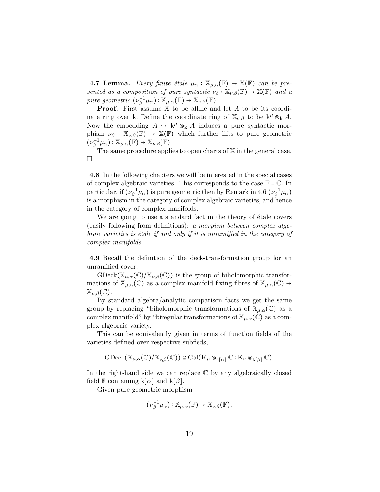**4.7 Lemma.** Every finite étale  $\mu_{\alpha} : \mathbb{X}_{\mu,\alpha}(\mathbb{F}) \to \mathbb{X}(\mathbb{F})$  can be presented as a composition of pure syntactic  $\nu_\beta : \mathbb{X}_{\nu,\beta}(\mathbb{F}) \to \mathbb{X}(\mathbb{F})$  and a pure geometric  $(\nu_{\beta}^{-1}\mu_{\alpha}) : \mathbb{X}_{\mu,\alpha}(\mathbb{F}) \to \mathbb{X}_{\nu,\beta}(\mathbb{F})$ .

**Proof.** First assume  $X$  to be affine and let A to be its coordinate ring over k. Define the coordinate ring of  $\mathbb{X}_{\nu,\beta}$  to be  $k^{\mu} \otimes_k A$ . Now the embedding  $A \rightarrow k^{\mu} \otimes_{k} A$  induces a pure syntactic morphism  $\nu_\beta : \mathbb{X}_{\nu,\beta}(\mathbb{F}) \to \mathbb{X}(\mathbb{F})$  which further lifts to pure geometric  $(\nu_{\beta}^{-1}\mu_{\alpha}) : \mathbb{X}_{\mu,\alpha}(\mathbb{F}) \to \mathbb{X}_{\nu,\beta}(\mathbb{F}).$ 

The same procedure applies to open charts of  $X$  in the general case.  $\Box$ 

4.8 In the following chapters we will be interested in the special cases of complex algebraic varieties. This corresponds to the case  $\mathbb{F} = \mathbb{C}$ . In particular, if  $(\nu_\beta^{-1}\mu_\alpha)$  is pure geometric then by Remark in 4.6  $(\nu_\beta^{-1}\mu_\alpha)$ is a morphism in the category of complex algebraic varieties, and hence in the category of complex manifolds.

We are going to use a standard fact in the theory of étale covers (easily following from definitions): a morpism between complex algebraic varieties is étale if and only if it is unramified in the category of complex manifolds.

4.9 Recall the definition of the deck-transformation group for an unramified cover:

 $\mathrm{GDeck}(\mathbb{X}_{\mu,\alpha}(\mathbb{C})/\mathbb{X}_{\nu,\beta}(\mathbb{C}))$  is the group of biholomorphic transformations of  $\mathbb{X}_{\mu,\alpha}(\mathbb{C})$  as a complex manifold fixing fibres of  $\mathbb{X}_{\mu,\alpha}(\mathbb{C}) \to$  $\mathbb{X}_{\nu,\beta}(\mathbb{C}).$ 

By standard algebra/analytic comparison facts we get the same group by replacing "biholomorphic transformations of  $\mathbb{X}_{\mu,\alpha}(\mathbb{C})$  as a complex manifold" by "biregular transformations of  $\mathbb{X}_{\mu,\alpha}(\mathbb{C})$  as a complex algebraic variety.

This can be equivalently given in terms of function fields of the varieties defined over respective subfieds,

$$
\mathrm{GDeck}(\mathbb{X}_{\mu,\alpha}(\mathbb{C})/\mathbb{X}_{\nu,\beta}(\mathbb{C})) \cong \mathrm{Gal}( \mathrm{K}_\mu \otimes_{\mathbf{k}[\alpha]} \mathbb{C} : \mathrm{K}_\nu \otimes_{\mathbf{k}[\beta]} \mathbb{C}).
$$

In the right-hand side we can replace  $\mathbb C$  by any algebraically closed field F containing  $k[\alpha]$  and  $k[\beta]$ .

Given pure geometric morphism

$$
(\nu_{\beta}^{-1}\mu_{\alpha}):\mathbb{X}_{\mu,\alpha}(\mathbb{F})\to\mathbb{X}_{\nu,\beta}(\mathbb{F}),
$$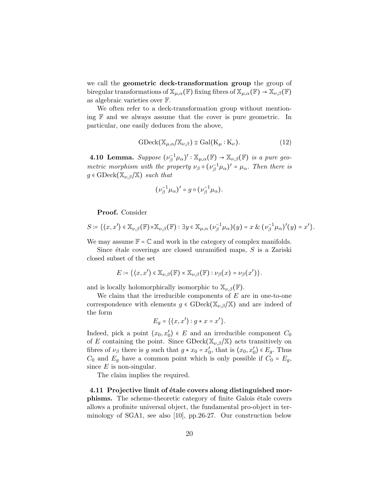we call the **geometric deck-transformation group** the group of biregular transformations of  $\mathbb{X}_{\mu,\alpha}(\mathbb{F})$  fixing fibres of  $\mathbb{X}_{\mu,\alpha}(\mathbb{F}) \to \mathbb{X}_{\nu,\beta}(\mathbb{F})$ as algebraic varieties over F.

We often refer to a deck-transformation group without mentioning F and we always assume that the cover is pure geometric. In particular, one easily deduces from the above,

$$
\text{GDeck}(\mathbb{X}_{\mu,\alpha}/\mathbb{X}_{\nu,\beta}) \cong \text{Gal}(K_{\mu}:K_{\nu}).
$$
\n(12)

**4.10 Lemma.** Suppose  $(\nu_{\beta}^{-1}\mu_{\alpha})': \mathbb{X}_{\mu,\alpha}(\mathbb{F}) \to \mathbb{X}_{\nu,\beta}(\mathbb{F})$  is a pure geometric morphism with the property  $\nu_\beta \circ (\nu_\beta^{-1} \mu_\alpha)' = \mu_\alpha$ . Then there is  $g \in \text{GDeck}(\mathbb{X}_{\nu,\beta}/\mathbb{X})$  such that

$$
(\nu_{\beta}^{-1}\mu_{\alpha})'=g\circ(\nu_{\beta}^{-1}\mu_{\alpha}).
$$

Proof. Consider

$$
S \coloneqq \{ \langle x, x' \rangle \in \mathbb{X}_{\nu,\beta}(\mathbb{F}) \times \mathbb{X}_{\nu,\beta}(\mathbb{F}) : \exists y \in \mathbb{X}_{\mu,\alpha}(\nu_{\beta}^{-1}\mu_{\alpha})(y) = x \& (\nu_{\beta}^{-1}\mu_{\alpha})'(y) = x' \}.
$$

We may assume  $\mathbb{F} = \mathbb{C}$  and work in the category of complex manifolds.

Since étale coverings are closed unramified maps,  $S$  is a Zariski closed subset of the set

$$
E \coloneqq \{ \langle x, x' \rangle \in \mathbb{X}_{\nu,\beta}(\mathbb{F}) \times \mathbb{X}_{\nu,\beta}(\mathbb{F}) : \nu_{\beta}(x) = \nu_{\beta}(x') \}.
$$

and is locally holomorphically isomorphic to  $\mathbb{X}_{\nu,\beta}(\mathbb{F})$ .

We claim that the irreducible components of  $E$  are in one-to-one correspondence with elements  $g \in \text{GDeck}(\mathbb{X}_{\nu,\beta}/\mathbb{X})$  and are indeed of the form

$$
E_g = \{ \langle x, x' \rangle : g * x = x' \}.
$$

Indeed, pick a point  $\langle x_0, x'_0 \rangle \in E$  and an irreducible component  $C_0$ of E containing the point. Since  $\text{GDeck}(\mathbb{X}_{\nu,\beta}/\mathbb{X})$  acts transitively on fibres of  $\nu_{\beta}$  there is g such that  $g * x_0 = x'_0$ , that is  $\langle x_0, x'_0 \rangle \in E_g$ . Thus  $C_0$  and  $E_g$  have a common point which is only possible if  $C_0 = E_g$ , since  $E$  is non-singular.

The claim implies the required.

4.11 Projective limit of étale covers along distinguished morphisms. The scheme-theoretic category of finite Galois étale covers allows a profinite universal object, the fundamental pro-object in terminology of SGA1, see also [10], pp.26-27. Our construction below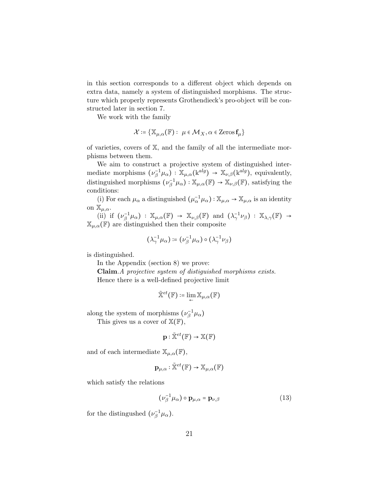in this section corresponds to a different object which depends on extra data, namely a system of distinguished morphisms. The structure which properly represents Grothendieck's pro-object will be constructed later in section 7.

We work with the family

$$
\mathcal{X} \coloneqq \{ \mathbb{X}_{\mu,\alpha}(\mathbb{F}) : \ \mu \in \mathcal{M}_X, \alpha \in \mathsf{Zeros}\,\mathbf{f}_{\mu} \}
$$

of varieties, covers of X, and the family of all the intermediate morphisms between them.

We aim to construct a projective system of distinguished intermediate morphisms  $(\nu_{\beta}^{-1}\mu_{\alpha}): \mathbb{X}_{\mu,\alpha}(\mathbf{k}^{alg}) \to \mathbb{X}_{\nu,\beta}(\mathbf{k}^{alg}),$  equivalently, distinguished morphisms  $(\nu_{\beta}^{-1}\mu_{\alpha}): \mathbb{X}_{\mu,\alpha}(\mathbb{F}) \to \mathbb{X}_{\nu,\beta}(\mathbb{F})$ , satisfying the conditions:

(i) For each  $\mu_\alpha$  a distinguished  $(\mu_\alpha^{-1}\mu_\alpha):\mathbb{X}_{\mu,\alpha}\to \mathbb{X}_{\mu,\alpha}$  is an identity on  $\mathbb{X}_{\mu,\alpha}$ .

(ii) if  $(\nu_\beta^{-1}\mu_\alpha) : \mathbb{X}_{\mu,\alpha}(\mathbb{F}) \to \mathbb{X}_{\nu,\beta}(\mathbb{F})$  and  $(\lambda_\gamma^{-1}\nu_\beta) : \mathbb{X}_{\lambda,\gamma}(\mathbb{F}) \to$  $\mathbb{X}_{\mu,\alpha}(\mathbb{F})$  are distinguished then their composite

$$
\big(\lambda_\gamma^{-1}\mu_\alpha\big)\coloneqq\big(\nu_\beta^{-1}\mu_\alpha\big)\circ\big(\lambda_\gamma^{-1}\nu_\beta\big)
$$

is distinguished.

In the Appendix (section 8) we prove:

Claim.A projective system of distiguished morphisms exists. Hence there is a well-defined projective limit

$$
\tilde{\mathbb{X}}^{et}(\mathbb{F})\coloneqq\lim_{\leftarrow}\mathbb{X}_{\mu,\alpha}(\mathbb{F})
$$

along the system of morphisms  $(\nu_{\beta}^{-1}\mu_{\alpha})$ 

This gives us a cover of  $\mathbb{X}(\mathbb{F}),$ 

$$
\mathbf{p}:\tilde{\mathbb{X}}^{et}(\mathbb{F})\rightarrow\mathbb{X}(\mathbb{F})
$$

and of each intermediate  $\mathbb{X}_{\mu,\alpha}(\mathbb{F}),$ 

$$
\mathbf{p}_{\mu,\alpha}:\mathbb{\tilde{X}}^{et}(\mathbb{F})\rightarrow \mathbb{X}_{\mu,\alpha}(\mathbb{F})
$$

which satisfy the relations

$$
\left(\nu_{\beta}^{-1}\mu_{\alpha}\right)\circ\mathbf{p}_{\mu,\alpha}=\mathbf{p}_{\nu,\beta}\tag{13}
$$

for the distingushed  $(\nu_{\beta}^{-1}\mu_{\alpha})$ .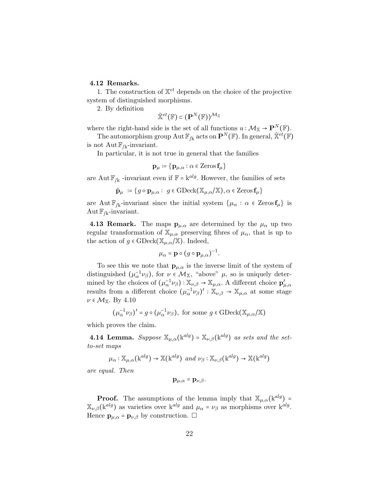#### 4.12 Remarks.

1. The construction of  $\mathbb{X}^{et}$  depends on the choice of the projective system of distinguished morphisms.

2. By definition

$$
\tilde{\mathbb{X}}^{et}(\mathbb{F}) \in (\mathbf{P}^N(\mathbb{F}))^{\mathcal{M}_{\mathbb{X}}}
$$

where the right-hand side is the set of all functions  $u : \mathcal{M}_{\mathbb{X}} \to \mathbf{P}^N(\mathbb{F})$ .

The automorphism group Aut  $\mathbb{F}_{/k}$  acts on  $\mathbf{P}^N(\mathbb{F})$ . In general,  $\tilde{\mathbb{X}}^{et}(\mathbb{F})$ is not Aut  $\mathbb{F}_{/k}$ -invariant.

In particular, it is not true in general that the families

$$
\mathbf{p}_{\mu} \coloneqq \{\mathbf{p}_{\mu,\alpha} : \alpha \in \operatorname{Zeros} \mathbf{f}_{\mu}\}
$$

are Aut $\mathbb{F}_{/k}$  -invariant even if  $\mathbb{F} = k^{alg}$ . However, the families of sets

$$
\tilde{\mathbf{p}}_{\mu} := \{ g \circ \mathbf{p}_{\mu,\alpha} : g \in \text{GDeck}(\mathbb{X}_{\mu,\alpha}/\mathbb{X}), \alpha \in \text{Zeros} \mathbf{f}_{\mu} \}
$$

are Aut  $\mathbb{F}_{/k}$ -invariant since the initial system  $\{\mu_{\alpha} : \alpha \in \operatorname{Zeros} f_{\mu}\}\$ is  $\mathrm{Aut}\, \mathbb{F}_{/k}$ -invariant.

**4.13 Remark.** The maps  $\mathbf{p}_{\mu,\alpha}$  are determined by the  $\mu_{\alpha}$  up two regular transformation of  $\mathbb{X}_{\mu,\alpha}$  preserving fibres of  $\mu_{\alpha}$ , that is up to the action of  $g \in \text{GDeck}(\mathbb{X}_{\mu,\alpha}/\mathbb{X})$ . Indeed,

$$
\mu_{\alpha} = \mathbf{p} \circ (g \circ \mathbf{p}_{\mu,\alpha})^{-1}.
$$

To see this we note that  $\mathbf{p}_{\mu,\alpha}$  is the inverse limit of the system of distinguished  $(\mu_{\alpha}^{-1}\nu_{\beta})$ , for  $\nu \in M_{\mathbb{X}}$ , "above"  $\mu$ , so is uniquely determined by the choices of  $(\mu_{\alpha}^{-1}\nu_{\beta}) : \mathbb{X}_{\nu,\beta} \to \mathbb{X}_{\mu,\alpha}$ . A different choice  $\mathbf{p}'_{\mu,\alpha}$ results from a different choice  $(\mu_{\alpha}^{-1}\nu_{\beta})': \mathbb{X}_{\nu,\beta} \to \mathbb{X}_{\mu,\alpha}$  at some stage  $\nu \in \mathcal{M}_{\mathbb{X}}$ . By 4.10

$$
\big(\mu_{\alpha}^{-1}\nu_{\beta}\big)'=g\circ\big(\mu_{\alpha}^{-1}\nu_{\beta}\big), \text{ for some } g\in \text{GDeck}\big(\mathbb{X}_{\mu,\alpha}\big/\mathbb{X}\big)
$$

which proves the claim.

**4.14 Lemma.** Suppose  $\mathbb{X}_{\mu,\alpha}(\mathbf{k}^{alg}) = \mathbb{X}_{\nu,\beta}(\mathbf{k}^{alg})$  as sets and the setto-set maps

$$
\mu_{\alpha} : \mathbb{X}_{\mu,\alpha}(\mathbf{k}^{alg}) \to \mathbb{X}(\mathbf{k}^{alg}) \text{ and } \nu_{\beta} : \mathbb{X}_{\nu,\beta}(\mathbf{k}^{alg}) \to \mathbb{X}(\mathbf{k}^{alg})
$$

are equal. Then

$$
\mathbf{p}_{\mu,\alpha}=\mathbf{p}_{\nu,\beta}.
$$

**Proof.** The assumptions of the lemma imply that  $\mathbb{X}_{\mu,\alpha}(\mathbf{k}^{alg})$  =  $\mathbb{X}_{\nu,\beta}$ (k<sup>alg</sup>) as varieties over k<sup>alg</sup> and  $\mu_{\alpha} = \nu_{\beta}$  as morphisms over k<sup>alg</sup>. Hence  $\mathbf{p}_{\mu,\alpha} = \mathbf{p}_{\nu,\beta}$  by construction.  $\Box$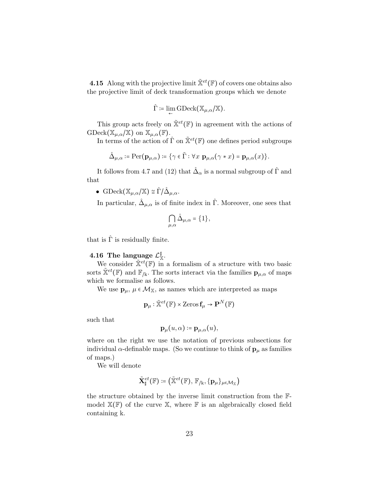4.15 Along with the projective limit  $\tilde{\mathbb{X}}^{et}(\mathbb{F})$  of covers one obtains also the projective limit of deck transformation groups which we denote

$$
\hat{\Gamma} \coloneqq \lim_{\leftarrow} \mathrm{GDeck}(\mathbb{X}_{\mu,\alpha}/\mathbb{X}).
$$

This group acts freely on  $\tilde{\mathbb{X}}^{et}(\mathbb{F})$  in agreement with the actions of  $\mathrm{GDeck}(\mathbb{X}_{\mu,\alpha}/\mathbb{X})$  on  $\mathbb{X}_{\mu,\alpha}(\mathbb{F})$ .

In terms of the action of  $\hat{\Gamma}$  on  $\tilde{\mathbb{X}}^{et}(\mathbb{F})$  one defines period subgroups

$$
\hat{\Delta}_{\mu,\alpha} \coloneqq \mathrm{Per}(\mathbf{p}_{\mu,\alpha}) \coloneqq \{ \gamma \in \tilde{\Gamma} : \forall x \; \mathbf{p}_{\mu,\alpha}(\gamma * x) = \mathbf{p}_{\mu,\alpha}(x) \}.
$$

It follows from 4.7 and (12) that  $\hat{\Delta}_{\alpha}$  is a normal subgroup of  $\hat{\Gamma}$  and that

• GDeck $(\mathbb{X}_{\mu,\alpha}/\mathbb{X}) \cong \hat{\Gamma}/\hat{\Delta}_{\mu,\alpha}.$ 

In particular,  $\hat{\Delta}_{\mu,\alpha}$  is of finite index in  $\hat{\Gamma}$ . Moreover, one sees that

$$
\bigcap_{\mu,\alpha}\hat{\Delta}_{\mu,\alpha}=\{1\},\
$$

that is  $\hat{\Gamma}$  is residually finite.

#### 4.16 The language  $\mathcal{L}^{\mathbb{I}}_{\mathbb{X}}.$

We consider  $\tilde{\mathbb{X}}^{et}(\mathbb{F})$  in a formalism of a structure with two basic sorts  $\tilde{\mathbf{x}}^{et}(\mathbb{F})$  and  $\mathbb{F}_{/k}$ . The sorts interact via the families  $\mathbf{p}_{\mu,\alpha}$  of maps which we formalise as follows.

We use  $\mathbf{p}_{\mu}$ ,  $\mu \in \mathcal{M}_{\mathbb{X}}$ , as names which are interpreted as maps

$$
\mathbf{p}_{\mu} : \tilde{\mathbb{X}}^{et}(\mathbb{F}) \times \mathrm{Zeros}\, \mathbf{f}_{\mu} \to \mathbf{P}^N(\mathbb{F})
$$

such that

$$
{\bf p}_{\mu}(u,\alpha)\coloneqq {\bf p}_{\mu,\alpha}(u),
$$

where on the right we use the notation of previous subsections for individual  $\alpha$ -definable maps. (So we continue to think of  $\mathbf{p}_{\mu}$  as families of maps.)

We will denote

$$
\tilde{\mathbf{X}}_{\sharp}^{et}(\mathbb{F})\coloneqq\big(\tilde{\mathbb{X}}^{et}(\mathbb{F}),\,\mathbb{F}_{/\mathbf{k}}, \{\mathbf{p}_{\mu}\}_{\mu\in\mathcal{M}_{\mathbb{X}}}\big)
$$

the structure obtained by the inverse limit construction from the Fmodel  $\mathbb{X}(\mathbb{F})$  of the curve  $\mathbb{X}$ , where  $\mathbb{F}$  is an algebraically closed field containing k.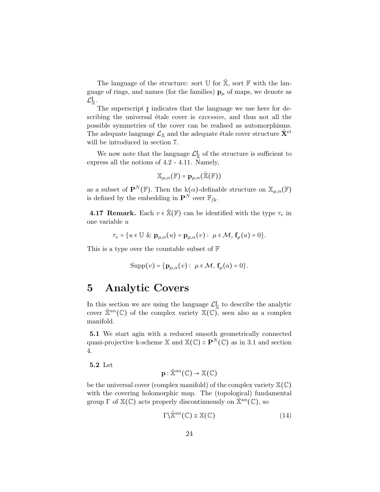The language of the structure: sort  $\mathbb U$  for  $\tilde{\mathbb X}$ , sort  $\mathbb F$  with the language of rings, and names (for the families)  ${\bf p}_\mu$  of maps, we denote as  $\mathcal{L}^{\sharp}_{\mathbb{X}}.$ 

The superscript  $\#$  indicates that the language we use here for describing the universal étale cover is *excessive*, and thus not all the possible symmetries of the cover can be realised as automorphisms. The adequate language  $\mathcal{L}_{\mathbb{X}}$  and the adequate étale cover structure  $\mathbf{X}^{et}$ will be introduced in section 7.

We now note that the language  $\mathcal{L}^{\sharp}_{\mathbb{X}}$  of the structure is sufficient to express all the notions of 4.2 - 4.11. Namely,

$$
\mathbb{X}_{\mu,\alpha}(\mathbb{F}) = \mathbf{p}_{\mu,\alpha}(\tilde{\mathbb{X}}(\mathbb{F}))
$$

as a subset of  $\mathbf{P}^{N}(\mathbb{F})$ . Then the k( $\alpha$ )-definable structure on  $\mathbb{X}_{\mu,\alpha}(\mathbb{F})$ is defined by the embedding in  $\mathbf{P}^N$  over  $\mathbb{F}_{/k}$ .

**4.17 Remark.** Each  $v \in \mathbb{X}(\mathbb{F})$  can be identified with the type  $\tau_v$  in one variable u

$$
\tau_v = \{ u \in \mathbb{U} \& \mathbf{p}_{\mu,\alpha}(u) = \mathbf{p}_{\mu,\alpha}(v) : \ \mu \in \mathcal{M}, \ \mathbf{f}_{\mu}(a) = 0 \}.
$$

This is a type over the countable subset of  $\mathbb F$ 

$$
\mathrm{Supp}(v) = \{ \mathbf{p}_{\mu,\alpha}(v) : \ \mu \in \mathcal{M}, \ \mathbf{f}_{\mu}(a) = 0 \}.
$$

### 5 Analytic Covers

In this section we are using the language  $\mathcal{L}_{\mathbb{X}}^{\mathbb{I}}$  to describe the analytic cover  $\tilde{\mathbb{X}}^{an}(\mathbb{C})$  of the complex variety  $\mathbb{X}(\mathbb{C})$ , seen also as a complex manifold.

5.1 We start agin with a reduced smooth geometrically connected quasi-projective k-scheme X and  $\mathbb{X}(\mathbb{C}) \subset \mathbb{P}^N(\mathbb{C})$  as in 3.1 and section 4.

5.2 Let

$$
\mathbf{p} : \tilde{\mathbb{X}}^{an}(\mathbb{C}) \to \mathbb{X}(\mathbb{C})
$$

be the universal cover (complex manifold) of the complex variety  $\mathbb{X}(\mathbb{C})$ with the covering holomorphic map. The (topological) fundamental group  $\Gamma$  of  $\mathbb{X}(\mathbb{C})$  acts properly discontinuously on  $\tilde{\mathbb{X}}^{an}(\mathbb{C})$ , so

$$
\Gamma \backslash \tilde{\mathbb{X}}^{an}(\mathbb{C}) \cong \mathbb{X}(\mathbb{C}) \tag{14}
$$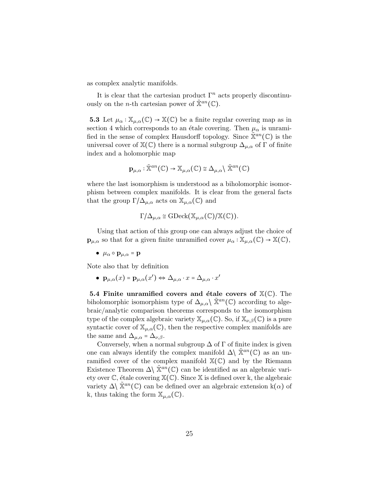as complex analytic manifolds.

It is clear that the cartesian product  $\Gamma^n$  acts properly discontinuously on the *n*-th cartesian power of  $\tilde{\mathbb{X}}^{an}(\mathbb{C})$ .

**5.3** Let  $\mu_{\alpha} : \mathbb{X}_{\mu,\alpha}(\mathbb{C}) \to \mathbb{X}(\mathbb{C})$  be a finite regular covering map as in section 4 which corresponds to an étale covering. Then  $\mu_{\alpha}$  is unramified in the sense of complex Hausdorff topology. Since  $\mathbb{X}^{an}(\mathbb{C})$  is the universal cover of  $\mathbb{X}(\mathbb{C})$  there is a normal subgroup  $\Delta_{\mu,\alpha}$  of  $\Gamma$  of finite index and a holomorphic map

$$
\mathbf{p}_{\mu,\alpha} : \tilde{\mathbb{X}}^{an}(\mathbb{C}) \to \mathbb{X}_{\mu,\alpha}(\mathbb{C}) \cong \Delta_{\mu,\alpha} \backslash \tilde{\mathbb{X}}^{an}(\mathbb{C})
$$

where the last isomorphism is understood as a biholomorphic isomorphism between complex manifolds. It is clear from the general facts that the group  $\Gamma/\Delta_{\mu,\alpha}$  acts on  $\mathbb{X}_{\mu,\alpha}(\mathbb{C})$  and

$$
\Gamma/\Delta_{\mu,\alpha} \cong \mathrm{GDeck}(\mathbb{X}_{\mu,\alpha}(\mathbb{C})/\mathbb{X}(\mathbb{C})).
$$

Using that action of this group one can always adjust the choice of  $\mathbf{p}_{\mu,\alpha}$  so that for a given finite unramified cover  $\mu_{\alpha} : \mathbb{X}_{\mu,\alpha}(\mathbb{C}) \to \mathbb{X}(\mathbb{C}),$ 

•  $\mu_{\alpha} \circ \mathbf{p}_{\mu,\alpha} = \mathbf{p}$ 

Note also that by definition

 $\bullet~~\mathbf{p}_{\mu,\alpha}(x)$  =  $\mathbf{p}_{\mu,\alpha}(x')$   $\Leftrightarrow$   $\Delta_{\mu,\alpha} \cdot x$  =  $\Delta_{\mu,\alpha} \cdot x'$ 

5.4 Finite unramified covers and étale covers of  $\mathbb{X}(\mathbb{C})$ . The biholomorphic isomorphism type of  $\Delta_{\mu,\alpha} \backslash \widetilde{X}^{an}(\mathbb{C})$  according to algebraic/analytic comparison theorems corresponds to the isomorphism type of the complex algebraic variety  $\mathbb{X}_{\mu,\alpha}(\mathbb{C})$ . So, if  $\mathbb{X}_{\nu,\beta}(\mathbb{C})$  is a pure syntactic cover of  $\mathbb{X}_{\mu,\alpha}(\mathbb{C})$ , then the respective complex manifolds are the same and  $\Delta_{\mu,\alpha} = \Delta_{\nu,\beta}$ .

Conversely, when a normal subgroup  $\Delta$  of  $\Gamma$  of finite index is given one can always identify the complex manifold  $\Delta \setminus \tilde{\mathbb{X}}^{an}(\mathbb{C})$  as an unramified cover of the complex manifold  $\mathbb{X}(\mathbb{C})$  and by the Riemann Existence Theorem  $\Delta \setminus \tilde{\mathbb{X}}^{an}(\mathbb{C})$  can be identified as an algebraic variety over  $\mathbb{C}$ , étale covering  $\mathbb{X}(\mathbb{C})$ . Since X is defined over k, the algebraic variety  $\Delta \setminus \tilde{\mathbb{X}}^{an}(\mathbb{C})$  can be defined over an algebraic extension k( $\alpha$ ) of k, thus taking the form  $\mathbb{X}_{\mu,\alpha}(\mathbb{C})$ .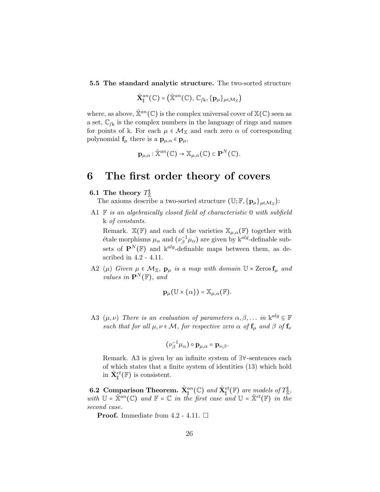5.5 The standard analytic structure. The two-sorted structure

$$
\tilde{\mathbf{X}}_{\sharp}^{an}(\mathbb{C}) = (\tilde{\mathbb{X}}^{an}(\mathbb{C}), \mathbb{C}_{/k}, {\mathbf{p}}_{\mu} {\}_{\mu \in \mathcal{M}_{\mathbb{X}}})
$$

where, as above,  $\tilde{\mathbb{X}}^{an}(\mathbb{C})$  is the complex universal cover of  $\mathbb{X}(\mathbb{C})$  seen as a set,  $\mathbb{C}_{/k}$  is the complex numbers in the language of rings and names for points of k. For each  $\mu \in \mathcal{M}_{\mathbb{X}}$  and each zero  $\alpha$  of corresponding polynomial  $f_{\mu}$  there is a  $\mathbf{p}_{\mu,\alpha} \in \mathbf{p}_{\mu}$ ,

$$
\mathbf{p}_{\mu,\alpha} : \tilde{\mathbb{X}}^{an}(\mathbb{C}) \to \mathbb{X}_{\mu,\alpha}(\mathbb{C}) \subset \mathbf{P}^N(\mathbb{C}).
$$

### 6 The first order theory of covers

#### 6.1 The theory  $T^{\sharp}_{\mathbb{X}}$

The axioms describe a two-sorted structure  $(\mathbb{U}; \mathbb{F}, {\{p_\mu\}}_{\mu \in \mathcal{M}_{\mathbb{X}}})$ :

A1  $\mathbb F$  is an algebraically closed field of characteristic 0 with subfield k of constants.

Remark.  $\mathbb{X}(\mathbb{F})$  and each of the varieties  $\mathbb{X}_{\mu,\alpha}(\mathbb{F})$  together with étale morphisms  $\mu_{\alpha}$  and  $(\nu_{\beta}^{-1}\mu_{\alpha})$  are given by  $k^{alg}$ -definable subsets of  $\mathbf{P}^{N}(\mathbb{F})$  and k<sup>alg</sup>-definable maps between them, as described in 4.2 - 4.11.

A2 ( $\mu$ ) Given  $\mu \in \mathcal{M}_{\mathbb{X}}$ ,  $\mathbf{p}_{\mu}$  is a map with domain  $\mathbb{U} \times \operatorname{Zeros} \mathbf{f}_{\mu}$  and values in  $\mathbf{P}^{N}(\mathbb{F})$ , and

$$
\mathbf{p}_{\mu}(\mathbb{U}\times\{\alpha\})=\mathbb{X}_{\mu,\alpha}(\mathbb{F}).
$$

A3  $(\mu, \nu)$  There is an evaluation of parameters  $\alpha, \beta, \ldots$  in  $k^{alg} \subseteq \mathbb{F}$ such that for all  $\mu, \nu \in \mathcal{M}$ , for respective zero  $\alpha$  of  $f_{\mu}$  and  $\beta$  of  $f_{\nu}$ 

$$
(\nu_\beta^{-1}\mu_\alpha)\circ {\bf p}_{\mu,\alpha}={\bf p}_{\nu,\beta}.
$$

Remark. A3 is given by an infinite system of ∃∀-sentences each of which states that a finite system of identities (13) which hold in  $\tilde{\mathbf{X}}_{\sharp}^{et}(\mathbb{F})$  is consistent.

**6.2 Comparison Theorem.**  $\tilde{\mathbf{X}}_{\mathbf{t}}^{an}(\mathbb{C})$  and  $\tilde{\mathbf{X}}_{\mathbf{t}}^{et}(\mathbb{F})$  are models of  $T_{\mathbb{X}}^{\sharp}$ , with  $\mathbb{U} = \tilde{\mathbb{X}}^{an}(\mathbb{C})$  and  $\mathbb{F} = \mathbb{C}$  in the first case and  $\mathbb{U} = \tilde{\mathbb{X}}^{et}(\mathbb{F})$  in the second case.

**Proof.** Immediate from 4.2 - 4.11.  $\Box$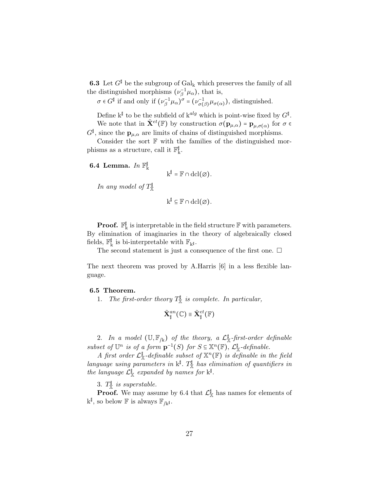**6.3** Let  $G^{\sharp}$  be the subgroup of  $Gal_{k}$  which preserves the family of all the distinguished morphisms  $(\nu_{\beta}^{-1}\mu_{\alpha})$ , that is,

 $\sigma \in G^{\sharp}$  if and only if  $(\nu_{\beta}^{-1}\mu_{\alpha})^{\sigma} = (\nu_{\sigma(\beta)}^{-1}\mu_{\sigma(\alpha)})$ , distinguished.

Define  $k^{\sharp}$  to be the subfield of  $k^{alg}$  which is point-wise fixed by  $G^{\sharp}$ . We note that in  $\tilde{\mathbf{X}}^{et}(\mathbb{F})$  by construction  $\sigma(\mathbf{p}_{\mu,\alpha}) = \mathbf{p}_{\mu,\sigma(\alpha)}$  for  $\sigma \in$ 

 $G^{\sharp}$ , since the  $\mathbf{p}_{\mu,\alpha}$  are limits of chains of distinguished morphisms. Consider the sort  $\mathbb F$  with the families of the distinguished mor-

phisms as a structure, call it  $\mathbb{F}_k^{\sharp}.$ 

6.4 Lemma.  $In \mathbb{F}_k^{\sharp}$ 

$$
\mathrm{k}^{\sharp}=\mathbb{F}\cap\operatorname{dcl}(\varnothing).
$$

In any model of  $T^{\sharp}_{\mathbb{X}}$ 

$$
k^{\sharp} \subseteq \mathbb{F} \cap \operatorname{dcl}(\varnothing).
$$

**Proof.**  $\mathbb{F}_{k}^{\sharp}$  is interpretable in the field structure  $\mathbb{F}$  with parameters. By elimination of imaginaries in the theory of algebraically closed fields,  $\mathbb{F}_k^{\sharp}$  is bi-interpretable with  $\mathbb{F}_{k^{\sharp}}.$ 

The second statement is just a consequence of the first one.  $\Box$ 

The next theorem was proved by A.Harris [6] in a less flexible language.

#### 6.5 Theorem.

1. The first-order theory  $T^{\sharp}_{\mathcal{R}}$  is complete. In particular,

$$
\tilde{\mathbf{X}}_{\sharp}^{an}(\mathbb{C})\equiv\tilde{\mathbf{X}}_{\sharp}^{et}(\mathbb{F})
$$

2. In a model  $(\mathbb{U}, \mathbb{F}_{/k})$  of the theory, a  $\mathcal{L}^{\parallel}_{\mathbb{X}}$ -first-order definable subset of  $\mathbb{U}^n$  is of a form  $\mathbf{p}^{-1}(S)$  for  $S \subseteq \mathbb{X}^n(\mathbb{F})$ ,  $\mathcal{L}^{\sharp}_{\mathbb{X}}$ -definable.

A first order  $\mathcal{L}_{X}^{\sharp}$ -definable subset of  $X^{n}(\mathbb{F})$  is definable in the field language using parameters in  $k^{\sharp}$ .  $T^{\sharp}_{\mathbb{X}}$  has elimination of quantifiers in the language  $\mathcal{L}^{\mathbb{I}}_{\mathbb{X}}$  expanded by names for  $k^{\mathbb{I}}$ .

3.  $T^{\sharp}_{\mathbb{X}}$  is superstable.

**Proof.** We may assume by 6.4 that  $\mathcal{L}_{\mathbb{X}}^{\llbracket}$  has names for elements of  $\mathbf{k}^{\sharp}$ , so below  $\mathbb{F}$  is always  $\mathbb{F}_{/\mathbf{k}^{\sharp}}$ .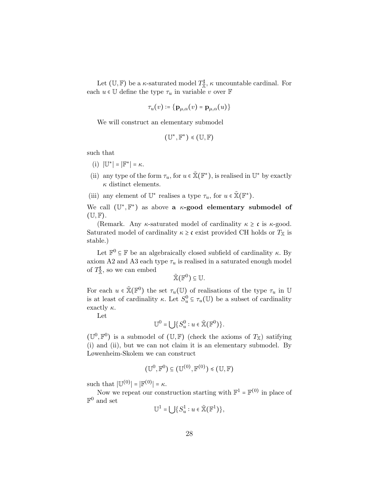Let  $(\mathbb{U}, \mathbb{F})$  be a  $\kappa$ -saturated model  $T^{\sharp}_{\mathbb{X}}, \kappa$  uncountable cardinal. For each  $u\in\mathbb{U}$  define the type  $\tau_u$  in variable  $v$  over  $\mathbb F$ 

$$
\tau_u(v) \coloneqq \{ \mathbf{p}_{\mu,\alpha}(v) = \mathbf{p}_{\mu,\alpha}(u) \}
$$

We will construct an elementary submodel

$$
(\mathbb{U}^*,\mathbb{F}^*)\preccurlyeq (\mathbb{U},\mathbb{F})
$$

such that

- (i)  $|\mathbb{U}^*| = |\mathbb{F}^*| = \kappa$ .
- (ii) any type of the form  $\tau_u$ , for  $u \in \tilde{\mathbb{X}}(\mathbb{F}^*)$ , is realised in  $\mathbb{U}^*$  by exactly  $\kappa$  distinct elements.
- (iii) any element of  $\mathbb{U}^*$  realises a type  $\tau_u$ , for  $u \in \tilde{\mathbb{X}}(\mathbb{F}^*)$ .

We call  $(\mathbb{U}^*, \mathbb{F}^*)$  as above a  $\kappa$ -good elementary submodel of  $(\mathbb{U}, \mathbb{F})$ .

(Remark. Any  $\kappa$ -saturated model of cardinality  $\kappa \geq \mathfrak{c}$  is  $\kappa$ -good. Saturated model of cardinality  $\kappa \geq c$  exist provided CH holds or  $T_{\mathbb{X}}$  is stable.)

Let  $\mathbb{F}^0 \subseteq \mathbb{F}$  be an algebraically closed subfield of cardinality  $\kappa.$  By axiom A2 and A3 each type  $\tau_u$  is realised in a saturated enough model of  $T_{\mathbb{X}}^{\sharp}$ , so we can embed

$$
\tilde{\mathbb{X}}(\mathbb{F}^0) \subseteq \mathbb{U}.
$$

For each  $u \in \tilde{\mathbb{X}}(\mathbb{F}^0)$  the set  $\tau_u(\mathbb{U})$  of realisations of the type  $\tau_u$  in  $\mathbb{U}$ is at least of cardinality  $\kappa$ . Let  $S_u^0 \subseteq \tau_u(\mathbb{U})$  be a subset of cardinality exactly  $\kappa$ .

Let

$$
\mathbb{U}^0=\bigcup\{S_u^0:u\in\tilde{\mathbb{X}}(\mathbb{F}^0)\}.
$$

 $(\mathbb{U}^0, \mathbb{F}^0)$  is a submodel of  $(\mathbb{U}, \mathbb{F})$  (check the axioms of  $T_{\mathbb{X}}$ ) satifying (i) and (ii), but we can not claim it is an elementary submodel. By Løwenheim-Skolem we can construct

$$
(\mathbb{U}^0,\mathbb{F}^0) \subseteq (\mathbb{U}^{(0)},\mathbb{F}^{(0)}) \leq (\mathbb{U},\mathbb{F})
$$

such that  $|\mathbb{U}^{(0)}| = |\mathbb{F}^{(0)}| = \kappa$ .

Now we repeat our construction starting with  $\mathbb{F}^1 = \mathbb{F}^{(0)}$  in place of  $\mathbb{F}^0$  and set

$$
\mathbb{U}^1 = \bigcup \{ S_u^1 : u \in \tilde{\mathbb{X}}(\mathbb{F}^1) \},
$$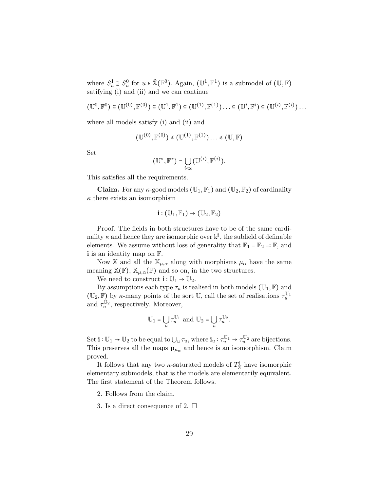where  $S_u^1 \supseteq S_u^0$  for  $u \in \tilde{\mathbb{X}}(\mathbb{F}^0)$ . Again,  $(\mathbb{U}^1, \mathbb{F}^1)$  is a submodel of  $(\mathbb{U}, \mathbb{F})$ satifying (i) and (ii) and we can continue

$$
(\mathbb{U}^{0},\mathbb{F}^{0})\subseteq (\mathbb{U}^{(0)},\mathbb{F}^{(0)})\subseteq (\mathbb{U}^{1},\mathbb{F}^{1})\subseteq (\mathbb{U}^{(1)},\mathbb{F}^{(1)})\ldots \subseteq (\mathbb{U}^{i},\mathbb{F}^{i})\subseteq (\mathbb{U}^{(i)},\mathbb{F}^{(i)})\ldots
$$

where all models satisfy (i) and (ii) and

$$
(\mathbb{U}^{(0)},\mathbb{F}^{(0)})\leq (\mathbb{U}^{(1)},\mathbb{F}^{(1)})\ldots\leq (\mathbb{U},\mathbb{F})
$$

Set

$$
(\mathbb{U}^*,\mathbb{F}^*)=\bigcup_{i<\omega}(\mathbb{U}^{(i)},\mathbb{F}^{(i)}).
$$

This satisfies all the requirements.

**Claim.** For any  $\kappa$ -good models  $(\mathbb{U}_1, \mathbb{F}_1)$  and  $(\mathbb{U}_2, \mathbb{F}_2)$  of cardinality  $\kappa$  there exists an isomorphism

$$
\mathbf{i} : (\mathbb{U}_1, \mathbb{F}_1) \to (\mathbb{U}_2, \mathbb{F}_2)
$$

Proof. The fields in both structures have to be of the same cardinality  $\kappa$  and hence they are isomorphic over  $k^{\sharp}$ , the subfield of definable elements. We assume without loss of generality that  $\mathbb{F}_1 = \mathbb{F}_2 = \mathbb{F}$ , and i is an identity map on  $\mathbb{F}$ .

Now X and all the  $\mathbb{X}_{\mu,\alpha}$  along with morphisms  $\mu_{\alpha}$  have the same meaning  $\mathbb{X}(\mathbb{F})$ ,  $\mathbb{X}_{\mu,\alpha}(\mathbb{F})$  and so on, in the two structures.

We need to construct  $\mathbf{i} : \mathbb{U}_1 \to \mathbb{U}_2$ .

By assumptions each type  $\tau_u$  is realised in both models  $(\mathbb{U}_1,\mathbb{F})$  and  $(\mathbb{U}_2, \mathbb{F})$  by  $\kappa$ -many points of the sort  $\mathbb{U}$ , call the set of realisations  $\tau_u^{\mathbb{U}_1}$ and  $\tau_u^{\mathbb{U}_2}$ , respectively. Moreover,

$$
\mathbb{U}_1 = \bigcup_u \tau_u^{\mathbb{U}_1} \text{ and } \mathbb{U}_2 = \bigcup_u \tau_u^{\mathbb{U}_2}.
$$

Set  $\mathbf{i} : \mathbb{U}_1 \to \mathbb{U}_2$  to be equal to  $\bigcup_u \tau_u$ , where  $\mathbf{i}_u : \tau_u^{\mathbb{U}_1} \to \tau_u^{\mathbb{U}_2}$  are bijections. This preserves all the maps  $\mathbf{p}_{\mu_{\alpha}}$  and hence is an isomorphism. Claim proved.

It follows that any two  $\kappa$ -saturated models of  $T^{\sharp}_{\mathbb{X}}$  have isomorphic elementary submodels, that is the models are elementarily equivalent. The first statement of the Theorem follows.

- 2. Follows from the claim.
- 3. Is a direct consequence of 2.  $\Box$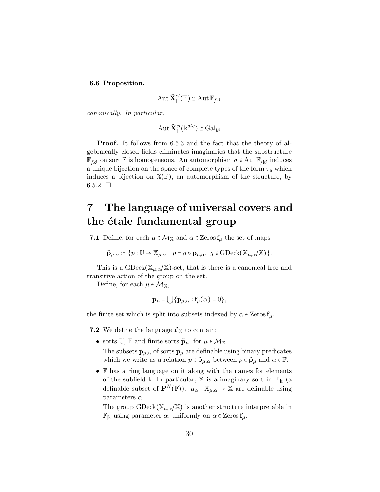#### 6.6 Proposition.

$$
\operatorname{Aut}\tilde{\mathbf{X}}_{\sharp}^{et}(\mathbb{F})\cong\operatorname{Aut}\mathbb{F}_{/\!\!k^{\sharp}}
$$

canonically. In particular,

$$
\operatorname{Aut}\tilde{\mathbf{X}}_{\sharp}^{et}(\mathrm{k}^{alg})\cong \operatorname{Gal}_{\mathrm{k}^{\sharp}}
$$

Proof. It follows from 6.5.3 and the fact that the theory of algebraically closed fields eliminates imaginaries that the substructure  $\mathbb{F}_{/k^{\sharp}}$  on sort **F** is homogeneous. An automorphism  $\sigma \in$ Aut **F**<sub>/k<sup>‡</sup></sub> induces a unique bijection on the space of complete types of the form  $\tau_u$  which induces a bijection on  $\mathbb{X}(\mathbb{F})$ , an automorphism of the structure, by 6.5.2.  $\Box$ 

# 7 The language of universal covers and the étale fundamental group

**7.1** Define, for each  $\mu \in \mathcal{M}_{\mathbb{X}}$  and  $\alpha \in \mathbb{Z}$ eros  $\mathbf{f}_{\mu}$  the set of maps

$$
\tilde{\mathbf{p}}_{\mu,\alpha} \coloneqq \{p : \mathbb{U} \to \mathbb{X}_{\mu,\alpha} | \ p = g \circ \mathbf{p}_{\mu,\alpha}, \ g \in \text{GDeck}(\mathbb{X}_{\mu,\alpha}/\mathbb{X})\}.
$$

This is a GDeck( $\mathbb{X}_{\mu,\alpha}/\mathbb{X}$ )-set, that is there is a canonical free and transitive action of the group on the set.

Define, for each  $\mu \in \mathcal{M}_{\mathbb{X}},$ 

$$
\widetilde{\mathbf{p}}_{\mu} = \bigcup \{ \widetilde{\mathbf{p}}_{\mu,\alpha} : \mathbf{f}_{\mu}(\alpha) = 0 \},
$$

the finite set which is split into subsets indexed by  $\alpha \in \mathsf{Zeros}\, \mathbf{f}_{\mu}$ .

**7.2** We define the language  $\mathcal{L}_{\mathbb{X}}$  to contain:

• sorts  $\mathbb{U}$ ,  $\mathbb{F}$  and finite sorts  $\tilde{\mathbf{p}}_{\mu}$ . for  $\mu \in \mathcal{M}_{\mathbb{X}}$ .

The subsets  $\tilde{\mathbf{p}}_{\mu,\alpha}$  of sorts  $\tilde{\mathbf{p}}_{\mu}$  are definable using binary predicates which we write as a relation  $p \in \tilde{\mathbf{p}}_{\mu,\alpha}$  between  $p \in \tilde{\mathbf{p}}_{\mu}$  and  $\alpha \in \mathbb{F}$ .

• F has a ring language on it along with the names for elements of the subfield k. In particular,  $\mathbb{X}$  is a imaginary sort in  $\mathbb{F}_{|k|}$  (a definable subset of  $\mathbf{P}^{N}(\mathbb{F})$ .  $\mu_{\alpha} : \mathbb{X}_{\mu,\alpha} \to \mathbb{X}$  are definable using parameters  $\alpha$ .

The group  $\text{GDeck}(\mathbb{X}_{\mu,\alpha}/\mathbb{X})$  is another structure interpretable in  $\mathbb{F}_{\vert k}$  using parameter  $\alpha$ , uniformly on  $\alpha \in \mathbb{Z}$ eros  $f_{\mu}$ .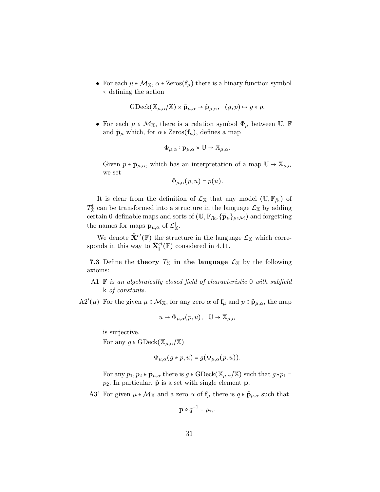• For each  $\mu \in \mathcal{M}_{\mathbb{X}}, \alpha \in \text{Zeros}(\mathbf{f}_{\mu})$  there is a binary function symbol ∗ defining the action

$$
\text{GDeck}(\mathbb{X}_{\mu,\alpha}/\mathbb{X}) \times \tilde{\mathbf{p}}_{\mu,\alpha} \to \tilde{\mathbf{p}}_{\mu,\alpha}, \quad (g,p) \mapsto g * p.
$$

• For each  $\mu \in \mathcal{M}_{\mathbb{X}}$ , there is a relation symbol  $\Phi_{\mu}$  between U, F and  $\tilde{\mathbf{p}}_{\mu}$  which, for  $\alpha \in \text{Zeros}(\mathbf{f}_{\mu})$ , defines a map

$$
\Phi_{\mu,\alpha} : \tilde{\mathbf{p}}_{\mu,\alpha} \times \mathbb{U} \to \mathbb{X}_{\mu,\alpha}.
$$

Given  $p \in \tilde{\mathbf{p}}_{\mu,\alpha}$ , which has an interpretation of a map  $\mathbb{U} \to \mathbb{X}_{\mu,\alpha}$ we set

$$
\Phi_{\mu,\alpha}(p,u)=p(u).
$$

It is clear from the definition of  $\mathcal{L}_{\mathbb{X}}$  that any model  $(\mathbb{U},\mathbb{F}_{/k})$  of  $T^{\sharp}_{\mathbb{X}}$  can be transformed into a structure in the language  $\mathcal{L}_{\mathbb{X}}$  by adding certain 0-definable maps and sorts of  $(\mathbb{U}, \mathbb{F}_{/k}, {\{\tilde{\mathbf{p}}_{\mu}\}}_{\mu \in \mathcal{M}})$  and forgetting the names for maps  $\mathbf{p}_{\mu,\alpha}$  of  $\mathcal{L}_{\mathbb{X}}^{\mathbb{I}}$ .

We denote  $\tilde{\mathbf{X}}^{et}(\mathbb{F})$  the structure in the language  $\mathcal{L}_{\mathbb{X}}$  which corresponds in this way to  $\tilde{\mathbf{X}}_{\sharp}^{et}(\mathbb{F})$  considered in 4.11.

7.3 Define the theory  $T_{\mathbb{X}}$  in the language  $\mathcal{L}_{\mathbb{X}}$  by the following axioms:

A1  $\mathbb F$  is an algebraically closed field of characteristic 0 with subfield k of constants.

 $A2'(\mu)$  For the given  $\mu \in \mathcal{M}_{\mathbb{X}}$ , for any zero  $\alpha$  of  $f_{\mu}$  and  $p \in \tilde{\mathbf{p}}_{\mu,\alpha}$ , the map

$$
u \mapsto \Phi_{\mu,\alpha}(p,u), \quad \mathbb{U} \to \mathbb{X}_{\mu,\alpha}
$$

is surjective.

For any  $g \in \text{GDeck}(\mathbb{X}_{\mu,\alpha}/\mathbb{X})$ 

$$
\Phi_{\mu,\alpha}(g * p, u) = g(\Phi_{\mu,\alpha}(p, u)).
$$

For any  $p_1, p_2 \in \tilde{\mathbf{p}}_{\mu,\alpha}$  there is  $g \in \text{GDeck}(\mathbb{X}_{\mu,\alpha}/\mathbb{X})$  such that  $g * p_1 =$  $p_2$ . In particular,  $\tilde{p}$  is a set with single element p.

A3' For given  $\mu \in \mathcal{M}_{\mathbb{X}}$  and a zero  $\alpha$  of  $f_{\mu}$  there is  $q \in \tilde{\mathbf{p}}_{\mu,\alpha}$  such that

$$
\mathbf{p} \circ q^{-1} = \mu_{\alpha}.
$$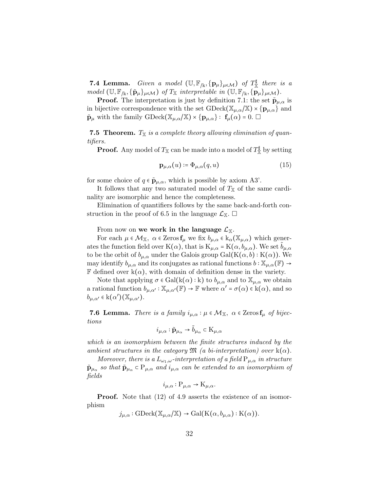**7.4 Lemma.** Given a model  $(\mathbb{U}, \mathbb{F}_{/k}, {\{p_\mu\}}_{\mu \in \mathcal{M}})$  of  $T_{\mathbb{X}}^{\sharp}$  there is a  $model$  (U,  $\mathbb{F}_{/k}, {\tilde{p}_{\mu}}_{\mu \in \mathcal{M}}$ ) of  $T_{\mathbb{X}}$  interpretable in (U,  $\mathbb{F}_{/k}, {\tilde{p}_{\mu}}_{\mu \in \mathcal{M}}$ ).

**Proof.** The interpretation is just by definition 7.1: the set  $\tilde{\mathbf{p}}_{\mu,\alpha}$  is in bijective correspondence with the set  $\text{GDeck}(\mathbb{X}_{\mu,\alpha}/\mathbb{X}) \times \{p_{\mu,\alpha}\}\$  and  $\tilde{\mathbf{p}}_{\mu}$  with the family GDeck $(\mathbb{X}_{\mu,\alpha}/\mathbb{X}) \times {\{\mathbf{p}}_{\mu,\alpha}\}\colon \mathbf{f}_{\mu}(\alpha) = 0.$ 

**7.5 Theorem.**  $T_{\mathbb{X}}$  is a complete theory allowing elimination of quantifiers.

**Proof.** Any model of  $T_{\mathbb{X}}$  can be made into a model of  $T_{\mathbb{X}}^{\mathbb{I}}$  by setting

$$
\mathbf{p}_{\mu,\alpha}(u) \coloneqq \Phi_{\mu,\alpha}(q,u) \tag{15}
$$

for some choice of  $q \in \tilde{\mathbf{p}}_{\mu,\alpha}$ , which is possible by axiom A3'.

It follows that any two saturated model of  $T<sub>X</sub>$  of the same cardinality are isomorphic and hence the completeness.

Elimination of quantifiers follows by the same back-and-forth construction in the proof of 6.5 in the language  $\mathcal{L}_{X}$ .  $\square$ 

From now on we work in the language  $\mathcal{L}_{\mathbb{X}}$ .

For each  $\mu \in \mathcal{M}_{\mathbb{X}}$ ,  $\alpha \in \operatorname{Zeros} f_{\mu}$  we fix  $b_{\mu,\alpha} \in k_{\alpha}(\mathbb{X}_{\mu,\alpha})$  which generates the function field over K( $\alpha$ ), that is  $K_{\mu,\alpha} = K(\alpha, b_{\mu,\alpha})$ . We set  $b_{\mu,\alpha}$ to be the orbit of  $b_{\mu,\alpha}$  under the Galois group  $Gal(K(\alpha, b): K(\alpha))$ . We may identify  $b_{\mu,\alpha}$  and its conjugates as rational functions  $b: \mathbb{X}_{\mu,\alpha}(\mathbb{F}) \to$ **F** defined over  $k(\alpha)$ , with domain of definition dense in the variety.

Note that applying  $\sigma \in \text{Gal}(k(\alpha):k)$  to  $b_{\mu,\alpha}$  and to  $\mathbb{X}_{\mu,\alpha}$  we obtain a rational function  $b_{\mu,\alpha'} : \mathbb{X}_{\mu,\alpha'}(\mathbb{F}) \to \mathbb{F}$  where  $\alpha' = \sigma(\alpha) \in k(\alpha)$ , and so  $b_{\mu,\alpha'} \in k(\alpha')(\mathbb{X}_{\mu,\alpha'}).$ 

**7.6 Lemma.** There is a family  $i_{\mu,\alpha} : \mu \in \mathcal{M}_{\mathbb{X}}, \ \alpha \in \mathbb{Z}$ eros  $\mathbf{f}_{\mu}$  of bijections

$$
i_{\mu,\alpha} : \tilde{\mathbf{p}}_{\mu_{\alpha}} \to \tilde{b}_{\mu_{\alpha}} \subset \mathbf{K}_{\mu,\alpha}
$$

which is an isomorphism between the finite structures induced by the ambient structures in the category  $\mathfrak{M}$  (a bi-interpretation) over  $\mathbf{k}(\alpha)$ .

Moreover, there is a  $L_{\omega_1,\omega}$ -interpretation of a field  $P_{\mu,\alpha}$  in structure  $\tilde{\mathbf{p}}_{\mu_{\alpha}}$  so that  $\tilde{\mathbf{p}}_{\mu_{\alpha}} \in \mathbf{P}_{\mu, \alpha}$  and  $i_{\mu, \alpha}$  can be extended to an isomorphism of fields

$$
i_{\mu,\alpha}: P_{\mu,\alpha} \to K_{\mu,\alpha}.
$$

**Proof.** Note that  $(12)$  of 4.9 asserts the existence of an isomorphism

 $j_{\mu,\alpha}$  : GDeck( $\mathbb{X}_{\mu,\alpha}/\mathbb{X}$ ) → Gal( $K(\alpha, b_{\mu,\alpha})$  :  $K(\alpha)$ ).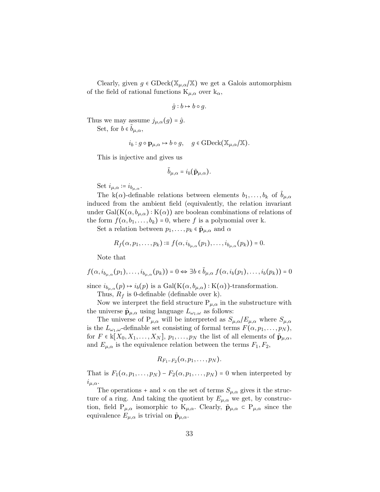Clearly, given  $g \in \text{GDeck}(\mathbb{X}_{\mu,\alpha}/\mathbb{X})$  we get a Galois automorphism of the field of rational functions  $K_{\mu,\alpha}$  over  $k_{\alpha}$ ,

$$
\hat{g}: b \mapsto b \circ g.
$$

Thus we may assume  $j_{\mu,\alpha}(g) = \hat{g}$ .

Set, for  $b \in \tilde{b}_{\mu,\alpha}$ ,

$$
i_b : g \circ \mathbf{p}_{\mu,\alpha} \mapsto b \circ g, \quad g \in \text{GDeck}(\mathbb{X}_{\mu,\alpha}/\mathbb{X}).
$$

This is injective and gives us

$$
\tilde{b}_{\mu,\alpha} = i_b(\tilde{\mathbf{p}}_{\mu,\alpha}).
$$

Set  $i_{\mu,\alpha} \coloneqq i_{b_{\mu,\alpha}}$ .

The k( $\alpha$ )-definable relations between elements  $b_1, \ldots, b_k$  of  $b_{\mu,\alpha}$ induced from the ambient field (equivalently, the relation invariant under Gal( $K(\alpha, b_{\mu,\alpha}): K(\alpha)$ ) are boolean combinations of relations of the form  $f(\alpha, b_1, \ldots, b_k) = 0$ , where f is a polynomial over k.

Set a relation between  $p_1, \ldots, p_k \in \tilde{\mathbf{p}}_{\mu,\alpha}$  and  $\alpha$ 

$$
R_f(\alpha, p_1,\ldots,p_k)\coloneqq f(\alpha,i_{b_{\mu,\alpha}}(p_1),\ldots,i_{b_{\mu,\alpha}}(p_k))=0.
$$

Note that

$$
f(\alpha, i_{b_{\mu,\alpha}}(p_1), \ldots, i_{b_{\mu,\alpha}}(p_k)) = 0 \Leftrightarrow \exists b \in \tilde{b}_{\mu,\alpha} \ f(\alpha, i_b(p_1), \ldots, i_b(p_k)) = 0
$$

since  $i_{b_{\mu,\alpha}}(p) \mapsto i_b(p)$  is a Gal(K $(\alpha, b_{\mu,\alpha})$ : K $(\alpha)$ )-transformation. Thus,  $R_f$  is 0-definable (definable over k).

Now we interpret the field structure  $P_{\mu,\alpha}$  in the substructure with the universe  $\tilde{\mathbf{p}}_{\mu,\alpha}$  using language  $L_{\omega_1,\omega}$  as follows:

The universe of  $P_{\mu,\alpha}$  will be interpreted as  $S_{\mu,\alpha}/E_{\mu,\alpha}$  where  $S_{\mu,\alpha}$ is the  $L_{\omega_1,\omega}$ -definable set consisting of formal terms  $F(\alpha, p_1, \ldots, p_N)$ , for  $F \in k[X_0, X_1, \ldots, X_N], p_1, \ldots, p_N$  the list of all elements of  $\tilde{\mathbf{p}}_{\mu,\alpha}$ , and  $E_{\mu,\alpha}$  is the equivalence relation between the terms  $F_1, F_2$ ,

$$
R_{F_1-F_2}(\alpha, p_1,\ldots, p_N).
$$

That is  $F_1(\alpha, p_1, \ldots, p_N) - F_2(\alpha, p_1, \ldots, p_N) = 0$  when interpreted by  $i_{\mu,\alpha}$ .

The operations + and  $\times$  on the set of terms  $S_{\mu,\alpha}$  gives it the structure of a ring. And taking the quotient by  $E_{\mu,\alpha}$  we get, by construction, field  $P_{\mu,\alpha}$  isomorphic to  $K_{\mu,\alpha}$ . Clearly,  $\tilde{\mathbf{p}}_{\mu,\alpha} \in P_{\mu,\alpha}$  since the equivalence  $E_{\mu,\alpha}$  is trivial on  $\tilde{\mathbf{p}}_{\mu,\alpha}$ .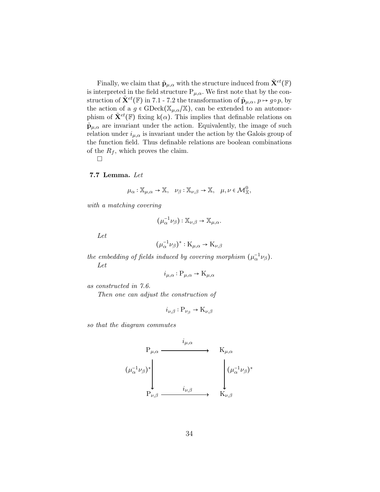Finally, we claim that  $\tilde{\mathbf{p}}_{\mu,\alpha}$  with the structure induced from  $\tilde{\mathbf{X}}^{et}(\mathbb{F})$ is interpreted in the field structure  $P_{\mu,\alpha}$ . We first note that by the construction of  $\tilde{\mathbf{X}}^{et}(\mathbb{F})$  in 7.1 - 7.2 the transformation of  $\tilde{\mathbf{p}}_{\mu,\alpha}, p \mapsto g \circ p$ , by the action of a  $g \in \text{GDeck}(\mathbb{X}_{\mu,\alpha}/\mathbb{X})$ , can be extended to an automorphism of  $\tilde{\mathbf{X}}^{et}(\mathbb{F})$  fixing k( $\alpha$ ). This implies that definable relations on  $\tilde{\mathbf{p}}_{\mu,\alpha}$  are invariant under the action. Equivalently, the image of such relation under  $i_{\mu,\alpha}$  is invariant under the action by the Galois group of the function field. Thus definable relations are boolean combinations of the  $R_f$ , which proves the claim.

 $\Box$ 

#### 7.7 Lemma. Let

$$
\mu_{\alpha} : \mathbb{X}_{\mu,\alpha} \to \mathbb{X}, \quad \nu_{\beta} : \mathbb{X}_{\nu,\beta} \to \mathbb{X}, \quad \mu, \nu \in \mathcal{M}_{\mathbb{X}}^0,
$$

with a matching covering

$$
\big(\mu_\alpha^{-1}\nu_\beta\big):\mathbb{X}_{\nu,\beta}\to\mathbb{X}_{\mu,\alpha}.
$$

Let

$$
(\mu_\alpha^{-1}\nu_\beta)^*:K_{\mu,\alpha}\to K_{\nu,\beta}
$$

the embedding of fields induced by covering morphism  $(\mu_{\alpha}^{-1}\nu_{\beta})$ . Let

$$
i_{\mu,\alpha}: \mathcal{P}_{\mu,\alpha} \to \mathcal{K}_{\mu,\alpha}
$$

as constructed in 7.6.

Then one can adjust the construction of

$$
i_{\nu,\beta} : \mathcal{P}_{\nu_{\beta}} \to \mathcal{K}_{\nu,\beta}
$$

so that the diagram commutes

$$
\begin{array}{ccc}\n & i_{\mu,\alpha} & \\
& \downarrow^{\mathbf{P}_{\mu,\alpha}} & \\
& \downarrow^{\mathbf{P}_{\mu,\alpha}} & \\
& \downarrow^{\mathbf{P}_{\nu,\beta}} & \\
& \downarrow^{\mathbf{P}_{\nu,\beta}} & \\
& \downarrow^{\mathbf{P}_{\nu,\beta}} & \\
& \downarrow^{\mathbf{P}_{\nu,\beta}} & \\
& \downarrow^{\mathbf{P}_{\nu,\beta}} & \\
& \downarrow^{\mathbf{P}_{\nu,\beta}} & \\
& \downarrow^{\mathbf{P}_{\nu,\beta}} & \\
& \downarrow^{\mathbf{P}_{\nu,\beta}} & \\
& \downarrow^{\mathbf{P}_{\nu,\beta}} & \\
& \downarrow^{\mathbf{P}_{\nu,\beta}} & \\
& \downarrow^{\mathbf{P}_{\nu,\beta}} & \\
& \downarrow^{\mathbf{P}_{\nu,\beta}} & \\
& \downarrow^{\mathbf{P}_{\nu,\beta}} & \\
& \downarrow^{\mathbf{P}_{\nu,\beta}} & \\
& \downarrow^{\mathbf{P}_{\nu,\beta}} & \\
& \downarrow^{\mathbf{P}_{\nu,\beta}} & \\
& \downarrow^{\mathbf{P}_{\nu,\beta}} & \\
& \downarrow^{\mathbf{P}_{\nu,\beta}} & \\
& \downarrow^{\mathbf{P}_{\nu,\beta}} & \\
& \downarrow^{\mathbf{P}_{\nu,\beta}} & \\
& \downarrow^{\mathbf{P}_{\nu,\beta}} & \\
& \downarrow^{\mathbf{P}_{\nu,\beta}} & \\
& \downarrow^{\mathbf{P}_{\nu,\beta}} & \\
& \downarrow^{\mathbf{P}_{\nu,\beta}} & \\
& \downarrow^{\mathbf{P}_{\nu,\beta}} & \\
& \downarrow^{\mathbf{P}_{\nu,\beta}} & \\
& \downarrow^{\mathbf{P}_{\nu,\beta}} & \\
& \downarrow^{\mathbf{P}_{\nu,\beta}} & \\
& \downarrow^{\mathbf{P}_{\nu,\beta}} & \\
& \downarrow^{\mathbf{P}_{\nu,\beta}} & \\
& \downarrow^{\mathbf{P}_{\nu,\beta}} & \\
& \downarrow^{\mathbf{P}_{\nu,\beta}} & \\
& \downarrow^{\mathbf{P}_{\nu,\beta}} & \\
& \downarrow^{\mathbf{P}_{\nu,\beta}} & \\
& \downarrow^{\mathbf{P}_{\nu,\beta}} & \\
& \downarrow^{\mathbf{P}_{\nu,\beta}} & \\
& \downarrow^{\mathbf{P}_{\nu,\beta}} & \\
& \downarrow^{\mathbf{P}_{\nu,\beta}} & \\
& \downarrow^{\mathbf{P}_{\nu,\beta}} & \\
& \downarrow
$$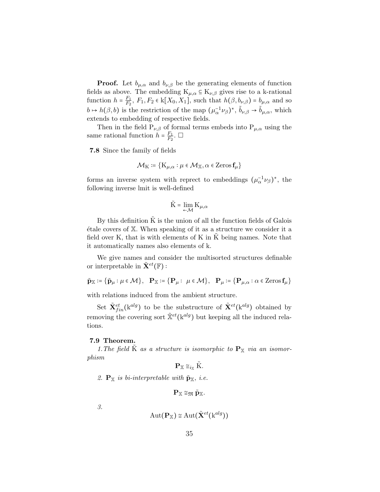**Proof.** Let  $b_{\mu,\alpha}$  and  $b_{\nu,\beta}$  be the generating elements of function fields as above. The embedding  $K_{\mu,\alpha} \subseteq K_{\nu,\beta}$  gives rise to a k-rational function  $h = \frac{F_1}{F_2}$  $\frac{F_1}{F_2}$ ,  $F_1, F_2 \in \mathbf{k}[X_0, X_1]$ , such that  $h(\beta, b_{\nu,\beta}) = b_{\mu,\alpha}$  and so  $b \mapsto h(\beta, b)$  is the restriction of the map  $(\mu_{\alpha}^{-1} \nu_{\beta})^*$ ,  $\tilde{b}_{\nu, \beta} \to \tilde{b}_{\mu, \alpha}$ , which extends to embedding of respective fields.

Then in the field  $P_{\nu,\beta}$  of formal terms embeds into  $P_{\mu,\alpha}$  using the same rational function  $h = \frac{F_1}{F_2}$  $\frac{F_1}{F_2}$ .  $\Box$ 

7.8 Since the family of fields

$$
\mathcal{M}_{\mathrm{K}} \coloneqq \{ \mathrm{K}_{\mu,\alpha} : \mu \in \mathcal{M}_{\mathbb{X}}, \alpha \in \mathrm{Zeros}\,\mathbf{f}_{\mu} \}
$$

forms an inverse system with reprect to embeddings  $(\mu_{\alpha}^{-1} \nu_{\beta})^*$ , the following inverse lmit is well-defined

$$
\tilde{\mathbf{K}} = \lim_{\leftarrow \mathcal{M}} \mathbf{K}_{\mu,\alpha}
$$

By this definition  $\tilde{K}$  is the union of all the function fields of Galois  $\alpha$  etale covers of  $X$ . When speaking of it as a structure we consider it a field over K, that is with elements of K in  $\tilde{K}$  being names. Note that it automatically names also elements of k.

We give names and consider the multisorted structures definable or interpretable in  $\tilde{\mathbf{X}}^{et}(\mathbb{F})$ :

$$
\tilde{\mathbf{p}}_{\mathbb{X}} \coloneqq \big\{ \tilde{\mathbf{p}}_{\mu} : \mu \in \mathcal{M} \big\}, \quad \mathbf{P}_{\mathbb{X}} \coloneqq \big\{ \mathbf{P}_{\mu} : \ \mu \in \mathcal{M} \big\}, \quad \mathbf{P}_{\mu} \coloneqq \big\{ \mathbf{P}_{\mu, \alpha} : \alpha \in \operatorname{Zeros}\nolimits \mathbf{f}_{\mu} \big\}
$$

with relations induced from the ambient structure.

Set  $\tilde{\mathbf{X}}_{fin}^{et}(\mathbf{k}^{alg})$  to be the substructure of  $\tilde{\mathbf{X}}^{et}(\mathbf{k}^{alg})$  obtained by removing the covering sort  $\tilde{\mathbb{X}}^{et}$ ( $\mathbb{k}^{alg}$ ) but keeping all the induced relations.

#### 7.9 Theorem.

1. The field K as a structure is isomorphic to  $\mathbf{P}_{\mathbb{X}}$  via an isomorphism

$$
\mathbf{P}_{\mathbb{X}} \cong_{i_{\mathbb{X}}} \tilde{\mathbf{K}}.
$$

2.  $\mathbf{P}_{\mathbb{X}}$  is bi-interpretable with  $\tilde{\mathbf{p}}_{\mathbb{X}},$  i.e.

$$
\mathbf{P}_{\mathbb{X}}\cong_{\mathfrak{M}}\tilde{\mathbf{p}}_{\mathbb{X}}.
$$

3.

$$
\mathrm{Aut}(\mathbf{P}_\mathbb{X})\cong \mathrm{Aut}(\tilde{\mathbf{X}}^{et}(\mathrm{k}^{alg}))
$$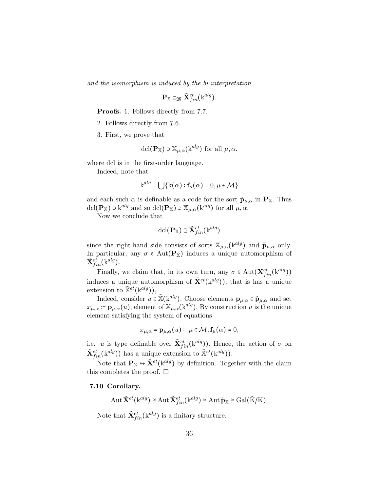and the isomorphism is induced by the bi-interpretation

$$
\mathbf{P}_{\mathbb{X}}\cong_{\mathfrak{M}}\tilde{\mathbf{X}}_{fin}^{et}(\mathrm{k}^{alg}).
$$

Proofs. 1. Follows directly from 7.7.

- 2. Follows directly from 7.6.
- 3. First, we prove that

$$
\operatorname{dcl}(\mathbf{P}_{\mathbb{X}}) \supset \mathbb{X}_{\mu,\alpha}(\mathbf{k}^{alg}) \text{ for all } \mu,\alpha.
$$

where dcl is in the first-order language.

Indeed, note that

$$
\mathbf{k}^{alg} = \bigcup \{ \mathbf{k}(\alpha) : \mathbf{f}_{\mu}(\alpha) = 0, \mu \in \mathcal{M} \}
$$

and each such  $\alpha$  is definable as a code for the sort  $\tilde{\mathbf{p}}_{\mu,\alpha}$  in  $\mathbf{P}_{\mathbb{X}}$ . Thus  $\text{dcl}(\mathbf{P}_{\mathbb{X}}) \ni k^{alg}$  and so  $\text{dcl}(\mathbf{P}_{\mathbb{X}}) \ni \mathbb{X}_{\mu,\alpha}(k^{alg})$  for all  $\mu,\alpha$ .

Now we conclude that

$$
\operatorname{dcl}(\mathbf{P}_{\mathbb{X}}) \ni \tilde{\mathbf{X}}_{fin}^{et}(\mathrm{k}^{alg})
$$

since the right-hand side consists of sorts  $\mathbb{X}_{\mu,\alpha}$  (k<sup>alg</sup>) and  $\tilde{\mathbf{p}}_{\mu,\alpha}$  only. In particular, any  $\sigma \in Aut(P_{\mathbb{X}})$  induces a unique automorphism of  $\tilde{\mathbf{X}}_{fin}^{et}(\mathrm{k}^{alg}).$ 

Finally, we claim that, in its own turn, any  $\sigma \in \text{Aut}(\tilde{\mathbf{X}}_{fin}^{et}(\mathbf{k}^{alg}))$ induces a unique automorphism of  $\tilde{\mathbf{X}}^{et}$ ( $\mathbf{k}^{alg}$ )), that is has a unique extension to  $\tilde{\mathbb{X}}^{et}(\mathbf{k}^{alg}),$ 

Indeed, consider  $u \in \tilde{\mathbb{X}}(k^{alg})$ . Choose elements  $\mathbf{p}_{\mu,\alpha} \in \tilde{\mathbf{p}}_{\mu,\alpha}$  and set  $x_{\mu,\alpha} \coloneqq \mathbf{p}_{\mu,\alpha}(u)$ , element of  $\mathbb{X}_{\mu,\alpha}$  (k<sup>alg</sup>). By construction u is the unique element satisfying the system of equations

$$
x_{\mu,\alpha} = \mathbf{p}_{\mu,\alpha}(u): \ \mu \in \mathcal{M}, \mathbf{f}_{\mu}(\alpha) = 0,
$$

i.e. u is type definable over  $\tilde{\mathbf{X}}_{fin}^{et}(\mathbf{k}^{alg})$ ). Hence, the action of  $\sigma$  on  $\tilde{\mathbf{X}}_{fin}^{et}(\mathbf{k}^{alg})$ ) has a unique extension to  $\tilde{\mathbb{X}}^{et}(\mathbf{k}^{alg})$ ).

Note that  $\mathbf{P}_{\mathbb{X}} \hookrightarrow \tilde{\mathbf{X}}^{et}(\mathbf{k}^{alg})$  by definition. Together with the claim this completes the proof.  $\square$ 

#### 7.10 Corollary.

$$
\operatorname{Aut}\tilde{\mathbf{X}}^{et}(\mathrm{k}^{alg})\cong \operatorname{Aut}\tilde{\mathbf{X}}^{et}_{fin}(\mathrm{k}^{alg})\cong \operatorname{Aut}\tilde{\mathbf{p}}_{\mathbb{X}}\cong \operatorname{Gal}(\tilde{\mathrm{K}}/\mathrm{K}).
$$

Note that  $\tilde{\mathbf{X}}_{fin}^{et}(\mathbf{k}^{alg})$  is a finitary structure.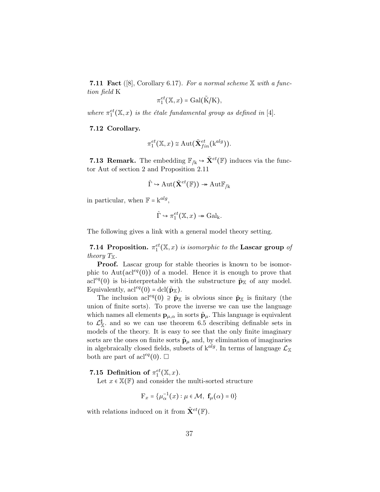**7.11 Fact** ([8], Corollary 6.17). For a normal scheme  $X$  with a function field K

$$
\pi_1^{et}(\mathbb{X},x) = \text{Gal}(\tilde{\mathbf{K}}/\mathbf{K}),
$$

where  $\pi_1^{et}(\mathbb{X},x)$  is the étale fundamental group as defined in [4].

#### 7.12 Corollary.

$$
\pi_1^{et}(\mathbb{X},x) \cong \mathrm{Aut}(\tilde{\mathbf{X}}_{fin}^{et}(\mathbf{k}^{alg})).
$$

**7.13 Remark.** The embedding  $\mathbb{F}_{/k} \hookrightarrow \tilde{\mathbf{X}}^{et}(\mathbb{F})$  induces via the functor Aut of section 2 and Proposition 2.11

$$
\hat{\Gamma} \hookrightarrow \mathrm{Aut}(\tilde{\mathbf{X}}^{et}(\mathbb{F})) \twoheadrightarrow \mathrm{Aut}\mathbb{F}_{/k}
$$

in particular, when  $\mathbb{F} = k^{alg}$ ,

$$
\hat{\Gamma} \hookrightarrow \pi_1^{et}(\mathbb{X}, x) \twoheadrightarrow \mathrm{Gal}_{k}.
$$

The following gives a link with a general model theory setting.

**7.14 Proposition.**  $\pi_1^{et}(\mathbb{X}, x)$  is isomorphic to the Lascar group of theory  $T_{\mathbb{X}}$ .

Proof. Lascar group for stable theories is known to be isomorphic to Aut( $\text{acl}^{eq}(0)$ ) of a model. Hence it is enough to prove that acl<sup>eq</sup>(0) is bi-interpretable with the substructure  $\tilde{p}_X$  of any model. Equivalently,  $acl^{eq}(0) = dcl(\tilde{p}_{\mathbb{X}}).$ 

The inclusion acl<sup>eq</sup>(0)  $\geq \tilde{p}_{\mathbb{X}}$  is obvious since  $\tilde{p}_{\mathbb{X}}$  is finitary (the union of finite sorts). To prove the inverse we can use the language which names all elements  $\mathbf{p}_{\mu,\alpha}$  in sorts  $\tilde{\mathbf{p}}_{\mu}$ . This language is equivalent to  $\mathcal{L}_{\mathbb{X}}^{\sharp}$  and so we can use theorem 6.5 describing definable sets in models of the theory. It is easy to see that the only finite imaginary sorts are the ones on finite sorts  $\tilde{\mathbf{p}}_{\mu}$  and, by elimination of imaginaries in algebraically closed fields, subsets of  $k^{alg}$ . In terms of language  $\mathcal{L}_{\mathbb{X}}$ both are part of acl<sup>eq</sup>(0).  $\Box$ 

### 7.15 Definition of  $\pi_1^{et}(\mathbb{X},x)$ .

Let  $x \in \mathbb{X}(\mathbb{F})$  and consider the multi-sorted structure

$$
\mathbf{F}_x = \{ \mu_\alpha^{-1}(x) : \mu \in \mathcal{M}, \ \mathbf{f}_\mu(\alpha) = 0 \}
$$

with relations induced on it from  $\tilde{\mathbf{X}}^{et}(\mathbb{F})$ .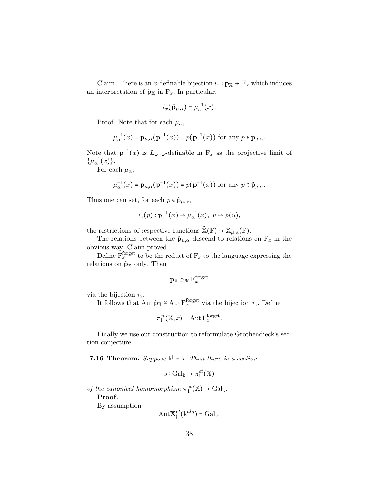Claim. There is an x-definable bijection  $i_x : \tilde{\mathbf{p}}_{\mathbb{X}} \to \mathbf{F}_x$  which induces an interpretation of  $\tilde{\mathbf{p}}_{\mathbb{X}}$  in  $F_x$ . In particular,

$$
i_x(\tilde{\mathbf{p}}_{\mu,\alpha}) = \mu_{\alpha}^{-1}(x).
$$

Proof. Note that for each  $\mu_{\alpha}$ ,

$$
\mu_{\alpha}^{-1}(x) = \mathbf{p}_{\mu,\alpha}(\mathbf{p}^{-1}(x)) = p(\mathbf{p}^{-1}(x)) \text{ for any } p \in \tilde{\mathbf{p}}_{\mu,\alpha}.
$$

Note that  $p^{-1}(x)$  is  $L_{\omega_1,\omega}$ -definable in  $F_x$  as the projective limit of  $\{\mu_{\alpha}^{-1}(x)\}.$ 

For each  $\mu_{\alpha}$ ,

$$
\mu_{\alpha}^{-1}(x) = \mathbf{p}_{\mu,\alpha}(\mathbf{p}^{-1}(x)) = p(\mathbf{p}^{-1}(x)) \text{ for any } p \in \tilde{\mathbf{p}}_{\mu,\alpha}.
$$

Thus one can set, for each  $p \in \tilde{\mathbf{p}}_{\mu,\alpha}$ ,

$$
i_x(p): \mathbf{p}^{-1}(x) \to \mu_\alpha^{-1}(x), \ u \mapsto p(u),
$$

the restrictions of respective functions  $\tilde{\mathbb{X}}(\mathbb{F}) \to \mathbb{X}_{\mu,\alpha}(\mathbb{F})$ .

The relations between the  $\tilde{\mathbf{p}}_{\mu,\alpha}$  descend to relations on  $F_x$  in the obvious way. Claim proved.

Define  $\overline{F}_x^{\text{forget}}$  to be the reduct of  $F_x$  to the language expressing the relations on  $\tilde{\mathbf{p}}_{\mathbb{X}}$  only. Then

$$
\tilde{\mathbf{p}}_{\mathbb{X}} \cong_{\mathfrak{M}} \mathrm{F}_{x}^{\mathrm{forget}}
$$

via the bijection  $i_x$ .

It follows that  $\text{Aut }\tilde{\mathbf{p}}_{\mathbb{X}} \cong \text{Aut } \mathbf{F}_x^{\text{forget}}$  via the bijection  $i_x$ . Define

$$
\pi_1^{et}(\mathbb{X},x) = \mathrm{Aut}\,\mathrm{F}_x^{\mathrm{forget}}.
$$

Finally we use our construction to reformulate Grothendieck's section conjecture.

**7.16 Theorem.** Suppose  $k^{\sharp} = k$ . Then there is a section

 $s: \operatorname{Gal}_{k} \to \pi_1^{et}(\mathbb{X})$ 

of the canonical homomorphism  $\pi_1^{et}(\mathbb{X}) \to \text{Gal}_k$ .

Proof.

By assumption

$$
\mathrm{Aut}\tilde{\mathbf{X}}_{\sharp}^{et}(\mathrm{k}^{alg})=\mathrm{Gal}_{\mathrm{k}}.
$$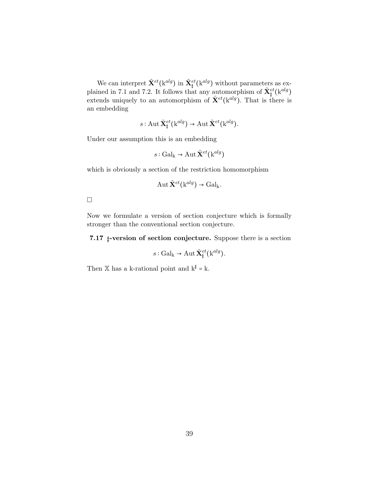We can interpret  $\tilde{\mathbf{X}}^{et}(\mathbf{k}^{alg})$  in  $\tilde{\mathbf{X}}^{et}_{\sharp}(\mathbf{k}^{alg})$  without parameters as explained in 7.1 and 7.2. It follows that any automorphism of  $\tilde{\mathbf{X}}_{\parallel}^{et}(\mathbf{k}^{alg})$ extends uniquely to an automorphism of  $\tilde{\mathbf{X}}^{et}$ ( $\mathbf{k}^{alg}$ ). That is there is an embedding

$$
s: \operatorname{Aut} \tilde{\mathbf{X}}^{et}_{\sharp}(\mathbf{k}^{alg}) \to \operatorname{Aut} \tilde{\mathbf{X}}^{et}(\mathbf{k}^{alg}).
$$

Under our assumption this is an embedding

$$
s: \operatorname{Gal}_k \to \operatorname{Aut} \tilde{\mathbf{X}}^{et}(k^{alg})
$$

which is obviously a section of the restriction homomorphism

$$
Aut \tilde{\mathbf{X}}^{et}(\mathbf{k}^{alg}) \to \mathrm{Gal}_{\mathbf{k}}.
$$

 $\Box$ 

Now we formulate a version of section conjecture which is formally stronger than the conventional section conjecture.

7.17 ♯-version of section conjecture. Suppose there is a section

$$
s: \operatorname{Gal}_{k} \to \operatorname{Aut} \tilde{\mathbf{X}}_{\sharp}^{et}(\mathbf{k}^{alg}).
$$

Then  $X$  has a k-rational point and  $k^{\sharp} = k$ .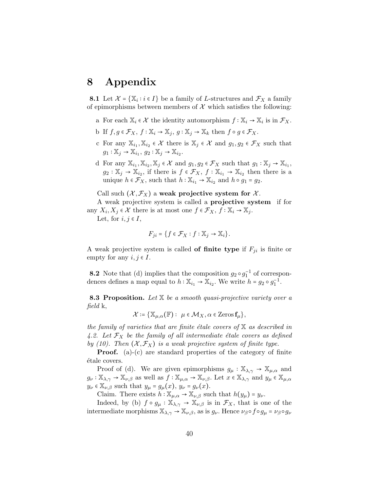### 8 Appendix

**8.1** Let  $\mathcal{X} = \{X_i : i \in I\}$  be a family of L-structures and  $\mathcal{F}_X$  a family of epimorphisms between members of  $\mathcal X$  which satisfies the following:

- a For each  $\mathbb{X}_i \in \mathcal{X}$  the identity automorphism  $f : \mathbb{X}_i \to \mathbb{X}_i$  is in  $\mathcal{F}_X$ .
- b If  $f, g \in \mathcal{F}_X$ ,  $f : \mathbb{X}_i \to \mathbb{X}_j$ ,  $g : \mathbb{X}_j \to \mathbb{X}_k$  then  $f \circ g \in \mathcal{F}_X$ .
- c For any  $\mathbb{X}_{i_1}, \mathbb{X}_{i_2} \in \mathcal{X}$  there is  $\mathbb{X}_j \in \mathcal{X}$  and  $g_1, g_2 \in \mathcal{F}_X$  such that  $g_1: \mathbb{X}_j \to \mathbb{X}_{i_1}, g_2: \mathbb{X}_j \to \mathbb{X}_{i_2}.$
- d For any  $\mathbb{X}_{i_1}, \mathbb{X}_{i_2}, \mathbb{X}_j \in \mathcal{X}$  and  $g_1, g_2 \in \mathcal{F}_X$  such that  $g_1 : \mathbb{X}_j \to \mathbb{X}_{i_1}$ ,  $g_2: \mathbb{X}_j \to \mathbb{X}_{i_2}$ , if there is  $f \in \mathcal{F}_X$ ,  $f: \mathbb{X}_{i_1} \to \mathbb{X}_{i_2}$  then there is a unique  $h \in \mathcal{F}_X$ , such that  $h: \mathbb{X}_{i_1} \to \mathbb{X}_{i_2}$  and  $h \circ g_1 = g_2$ .

Call such  $(\mathcal{X}, \mathcal{F}_X)$  a weak projective system for  $\mathcal{X}$ .

A weak projective system is called a projective system if for any  $X_i, X_j \in \mathcal{X}$  there is at most one  $f \in \mathcal{F}_X, f : \mathbb{X}_i \to \mathbb{X}_j$ .

Let, for  $i, j \in I$ ,

$$
F_{ji} = \{ f \in \mathcal{F}_X : f : \mathbb{X}_j \to \mathbb{X}_i \}.
$$

A weak projective system is called **of finite type** if  $F_{ji}$  is finite or empty for any  $i, j \in I$ .

**8.2** Note that (d) implies that the composition  $g_2 \circ g_1^{-1}$  of correspondences defines a map equal to  $h : \mathbb{X}_{i_1} \to \mathbb{X}_{i_2}$ . We write  $h = g_2 \circ g_1^{-1}$ .

**8.3 Proposition.** Let  $X$  be a smooth quasi-projective variety over a field k,

$$
\mathcal{X} \coloneqq \{ \mathbb{X}_{\mu,\alpha}(\mathbb{F}) : \ \mu \in \mathcal{M}_X, \alpha \in \text{Zeros}\,\mathbf{f}_{\mu} \},
$$

the family of varieties that are finite étale covers of  $X$  as described in 4.2. Let  $\mathcal{F}_X$  be the family of all intermediate étale covers as defined by (10). Then  $(X, \mathcal{F}_X)$  is a weak projective system of finite type.

**Proof.** (a)-(c) are standard properties of the category of finite étale covers.

Proof of (d). We are given epimorphisms  $g_{\mu} : \mathbb{X}_{\lambda,\gamma} \to \mathbb{X}_{\mu,\alpha}$  and  $g_{\nu} : \mathbb{X}_{\lambda,\gamma} \to \mathbb{X}_{\nu,\beta}$  as well as  $f : \mathbb{X}_{\mu,\alpha} \to \mathbb{X}_{\nu,\beta}$ . Let  $x \in \mathbb{X}_{\lambda,\gamma}$  and  $y_{\mu} \in \mathbb{X}_{\mu,\alpha}$  $y_{\nu} \in \mathbb{X}_{\nu,\beta}$  such that  $y_{\mu} = g_{\mu}(x), y_{\nu} = g_{\nu}(x)$ .

Claim. There exists  $h: \mathbb{X}_{\mu,\alpha} \to \mathbb{X}_{\nu,\beta}$  such that  $h(y_\mu) = y_\nu$ .

Indeed, by (b)  $f \circ g_\mu : \mathbb{X}_{\lambda, \gamma} \to \mathbb{X}_{\nu, \beta}$  is in  $\mathcal{F}_X$ , that is one of the intermediate morphisms  $\mathbb{X}_{\lambda,\gamma} \to \mathbb{X}_{\nu,\beta}$ , as is  $g_{\nu}$ . Hence  $\nu_{\beta} \circ f \circ g_{\mu} = \nu_{\beta} \circ g_{\nu}$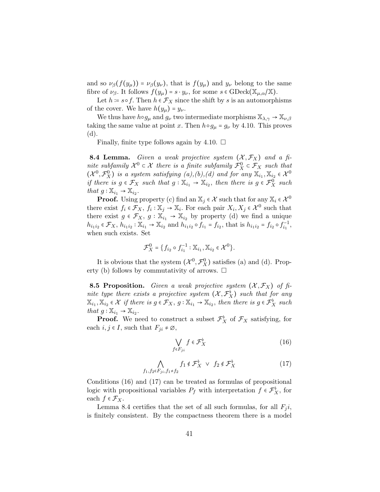and so  $\nu_\beta(f(y_\mu)) = \nu_\beta(y_\nu)$ , that is  $f(y_\mu)$  and  $y_\nu$  belong to the same fibre of  $\nu_{\beta}$ . It follows  $f(y_{\mu}) = s \cdot y_{\nu}$ , for some  $s \in \text{GDeck}(\mathbb{X}_{\mu,\alpha}/\mathbb{X})$ .

Let  $h = s \circ f$ . Then  $h \in \mathcal{F}_X$  since the shift by s is an automorphisms of the cover. We have  $h(y_\mu) = y_\nu$ .

We thus have  $h \circ g_\mu$  and  $g_\nu$  two intermediate morphisms  $\mathbb{X}_{\lambda,\gamma} \to \mathbb{X}_{\nu,\beta}$ taking the same value at point x. Then  $h \circ g_\mu = g_\nu$  by 4.10. This proves (d).

Finally, finite type follows again by 4.10.  $\Box$ 

**8.4 Lemma.** Given a weak projective system  $(\mathcal{X}, \mathcal{F}_X)$  and a finite subfamily  $\mathcal{X}^0 \subset \mathcal{X}$  there is a finite subfamily  $\mathcal{F}^0_X \subset \mathcal{F}_X$  such that  $(\mathcal{X}^0, \mathcal{F}^0_X)$  is a system satisfying  $(a), (b), (d)$  and for any  $\mathbb{X}_{i_1}, \mathbb{X}_{i_2} \in \mathcal{X}^0$ if there is  $g \in \mathcal{F}_X$  such that  $g: \mathbb{X}_{i_1} \to \mathbb{X}_{i_2}$ , then there is  $g \in \mathcal{F}_X^0$  such that  $g: \mathbb{X}_{i_1} \to \mathbb{X}_{i_2}$ .

**Proof.** Using property (c) find an  $\mathbb{X}_j \in \mathcal{X}$  such that for any  $\mathbb{X}_i \in \mathcal{X}^0$ there exist  $f_i \in \mathcal{F}_X$ ,  $f_i : \mathbb{X}_j \to \mathbb{X}_i$ . For each pair  $X_i, X_j \in \mathcal{X}^0$  such that there exist  $g \in \mathcal{F}_X$ ,  $g : \mathbb{X}_{i_1} \to \mathbb{X}_{i_2}$  by property (d) we find a unique  $h_{i_1 i_2} \in \mathcal{F}_X$ ,  $h_{i_1 i_2} : \mathbb{X}_{i_1} \to \mathbb{X}_{i_2}$  and  $h_{i_1 i_2} \circ f_{i_1} = f_{i_2}$ , that is  $h_{i_1 i_2} = f_{i_2} \circ f_{i_1}^{-1}$ , when such exists. Set

$$
\mathcal{F}_X^0 = \{ f_{i_2} \circ f_{i_1}^{-1} : \mathbb{X}_{i_1}, \mathbb{X}_{i_2} \in \mathcal{X}^0 \}.
$$

It is obvious that the system  $(\mathcal{X}^0, \mathcal{F}^0_X)$  satisfies (a) and (d). Property (b) follows by commutativity of arrows.  $\Box$ 

**8.5 Proposition.** Given a weak projective system  $(X, \mathcal{F}_X)$  of finite type there exists a projective system  $(\mathcal{X}, \mathcal{F}_X^{\flat})$  such that for any  $\mathbb{X}_{i_1}, \mathbb{X}_{i_2} \in \mathcal{X}$  if there is  $g \in \mathcal{F}_X$ ,  $g: \mathbb{X}_{i_1} \to \mathbb{X}_{i_2}$ , then there is  $g \in \mathcal{F}_X^{\flat}$  such that  $g: \mathbb{X}_{i_1} \to \mathbb{X}_{i_2}$ .

**Proof.** We need to construct a subset  $\mathcal{F}_X^{\flat}$  of  $\mathcal{F}_X$  satisfying, for each  $i, j \in I$ , such that  $F_{ji} \neq \emptyset$ ,

$$
\bigvee_{f \in F_{ji}} f \in \mathcal{F}_X^{\flat}
$$
 (16)

$$
\bigwedge_{f_1, f_2 \in F_{ji}, f_1 \neq f_2} f_1 \notin \mathcal{F}_X^{\flat} \quad \lor \quad f_2 \notin \mathcal{F}_X^{\flat}
$$
\n
$$
(17)
$$

Conditions (16) and (17) can be treated as formulas of propositional logic with propositional variables  $P_f$  with interpretation  $f \in \mathcal{F}_X^{\flat}$ , for each  $f \in \mathcal{F}_X$ .

Lemma 8.4 certifies that the set of all such formulas, for all  $F_i i$ , is finitely consistent. By the compactness theorem there is a model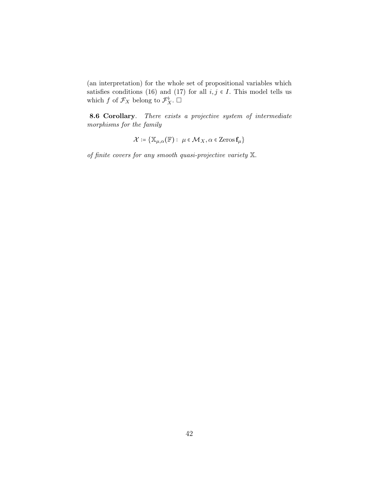(an interpretation) for the whole set of propositional variables which satisfies conditions (16) and (17) for all  $i, j \in I$ . This model tells us which f of  $\mathcal{F}_X$  belong to  $\mathcal{F}_X^{\flat}$ .  $\square$ 

8.6 Corollary. There exists a projective system of intermediate morphisms for the family

$$
\mathcal{X} \coloneqq \{ \mathbb{X}_{\mu,\alpha}(\mathbb{F}) : \ \mu \in \mathcal{M}_X, \alpha \in \text{Zeros}\, \mathbf{f}_{\mu} \}
$$

of finite covers for any smooth quasi-projective variety X.